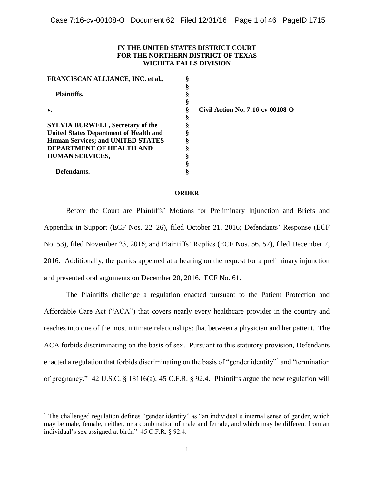### **IN THE UNITED STATES DISTRICT COURT FOR THE NORTHERN DISTRICT OF TEXAS WICHITA FALLS DIVISION**

| FRANCISCAN ALLIANCE, INC. et al.,             |  |
|-----------------------------------------------|--|
|                                               |  |
| <b>Plaintiffs,</b>                            |  |
|                                               |  |
| $\mathbf{v}$ .                                |  |
|                                               |  |
| <b>SYLVIA BURWELL, Secretary of the</b>       |  |
| <b>United States Department of Health and</b> |  |
| <b>Human Services; and UNITED STATES</b>      |  |
| DEPARTMENT OF HEALTH AND                      |  |
| <b>HUMAN SERVICES,</b>                        |  |
|                                               |  |
| Defendants.                                   |  |

l

**v. § Civil Action No. 7:16-cv-00108-O** 

#### **ORDER**

Before the Court are Plaintiffs' Motions for Preliminary Injunction and Briefs and Appendix in Support (ECF Nos. 22–26), filed October 21, 2016; Defendants' Response (ECF No. 53), filed November 23, 2016; and Plaintiffs' Replies (ECF Nos. 56, 57), filed December 2, 2016. Additionally, the parties appeared at a hearing on the request for a preliminary injunction and presented oral arguments on December 20, 2016. ECF No. 61.

The Plaintiffs challenge a regulation enacted pursuant to the Patient Protection and Affordable Care Act ("ACA") that covers nearly every healthcare provider in the country and reaches into one of the most intimate relationships: that between a physician and her patient. The ACA forbids discriminating on the basis of sex. Pursuant to this statutory provision, Defendants enacted a regulation that forbids discriminating on the basis of "gender identity"<sup>1</sup> and "termination of pregnancy." 42 U.S.C. § 18116(a); 45 C.F.R. § 92.4. Plaintiffs argue the new regulation will

<sup>&</sup>lt;sup>1</sup> The challenged regulation defines "gender identity" as "an individual's internal sense of gender, which may be male, female, neither, or a combination of male and female, and which may be different from an individual's sex assigned at birth." 45 C.F.R. § 92.4.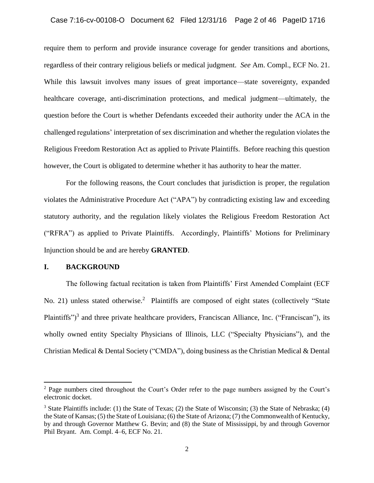### Case 7:16-cv-00108-O Document 62 Filed 12/31/16 Page 2 of 46 PageID 1716

require them to perform and provide insurance coverage for gender transitions and abortions, regardless of their contrary religious beliefs or medical judgment. *See* Am. Compl., ECF No. 21. While this lawsuit involves many issues of great importance—state sovereignty, expanded healthcare coverage, anti-discrimination protections, and medical judgment—ultimately, the question before the Court is whether Defendants exceeded their authority under the ACA in the challenged regulations' interpretation of sex discrimination and whether the regulation violates the Religious Freedom Restoration Act as applied to Private Plaintiffs. Before reaching this question however, the Court is obligated to determine whether it has authority to hear the matter.

For the following reasons, the Court concludes that jurisdiction is proper, the regulation violates the Administrative Procedure Act ("APA") by contradicting existing law and exceeding statutory authority, and the regulation likely violates the Religious Freedom Restoration Act ("RFRA") as applied to Private Plaintiffs. Accordingly, Plaintiffs' Motions for Preliminary Injunction should be and are hereby **GRANTED**.

### **I. BACKGROUND**

l

The following factual recitation is taken from Plaintiffs' First Amended Complaint (ECF No. 21) unless stated otherwise.<sup>2</sup> Plaintiffs are composed of eight states (collectively "State Plaintiffs")<sup>3</sup> and three private healthcare providers, Franciscan Alliance, Inc. ("Franciscan"), its wholly owned entity Specialty Physicians of Illinois, LLC ("Specialty Physicians"), and the Christian Medical & Dental Society ("CMDA"), doing business as the Christian Medical & Dental

<sup>&</sup>lt;sup>2</sup> Page numbers cited throughout the Court's Order refer to the page numbers assigned by the Court's electronic docket.

 $3$  State Plaintiffs include: (1) the State of Texas; (2) the State of Wisconsin; (3) the State of Nebraska; (4) the State of Kansas; (5) the State of Louisiana; (6) the State of Arizona; (7) the Commonwealth of Kentucky, by and through Governor Matthew G. Bevin; and (8) the State of Mississippi, by and through Governor Phil Bryant. Am. Compl. 4–6, ECF No. 21.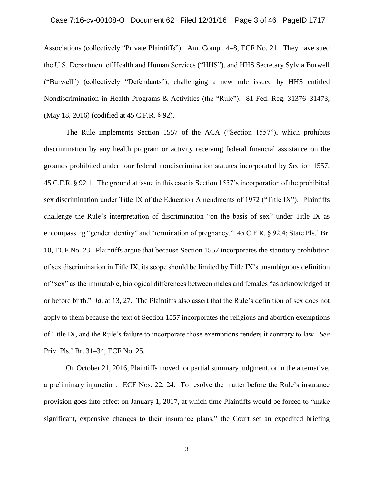Associations (collectively "Private Plaintiffs"). Am. Compl. 4–8, ECF No. 21. They have sued the U.S. Department of Health and Human Services ("HHS"), and HHS Secretary Sylvia Burwell ("Burwell") (collectively "Defendants"), challenging a new rule issued by HHS entitled Nondiscrimination in Health Programs & Activities (the "Rule"). 81 Fed. Reg. 31376–31473, (May 18, 2016) (codified at 45 C.F.R. § 92).

The Rule implements Section 1557 of the ACA ("Section 1557"), which prohibits discrimination by any health program or activity receiving federal financial assistance on the grounds prohibited under four federal nondiscrimination statutes incorporated by Section 1557. 45 C.F.R. § 92.1. The ground at issue in this case is Section 1557's incorporation of the prohibited sex discrimination under Title IX of the Education Amendments of 1972 ("Title IX"). Plaintiffs challenge the Rule's interpretation of discrimination "on the basis of sex" under Title IX as encompassing "gender identity" and "termination of pregnancy." 45 C.F.R. § 92.4; State Pls.' Br. 10, ECF No. 23. Plaintiffs argue that because Section 1557 incorporates the statutory prohibition of sex discrimination in Title IX, its scope should be limited by Title IX's unambiguous definition of "sex" as the immutable, biological differences between males and females "as acknowledged at or before birth." *Id.* at 13, 27. The Plaintiffs also assert that the Rule's definition of sex does not apply to them because the text of Section 1557 incorporates the religious and abortion exemptions of Title IX, and the Rule's failure to incorporate those exemptions renders it contrary to law. *See* Priv. Pls.' Br. 31–34, ECF No. 25.

On October 21, 2016, Plaintiffs moved for partial summary judgment, or in the alternative, a preliminary injunction. ECF Nos. 22, 24. To resolve the matter before the Rule's insurance provision goes into effect on January 1, 2017, at which time Plaintiffs would be forced to "make significant, expensive changes to their insurance plans," the Court set an expedited briefing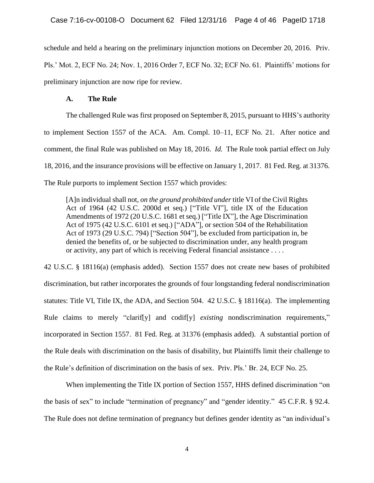schedule and held a hearing on the preliminary injunction motions on December 20, 2016. Priv. Pls.' Mot. 2, ECF No. 24; Nov. 1, 2016 Order 7, ECF No. 32; ECF No. 61. Plaintiffs' motions for preliminary injunction are now ripe for review.

### **A. The Rule**

The challenged Rule was first proposed on September 8, 2015, pursuant to HHS's authority to implement Section 1557 of the ACA. Am. Compl. 10–11, ECF No. 21. After notice and comment, the final Rule was published on May 18, 2016. *Id.* The Rule took partial effect on July 18, 2016, and the insurance provisions will be effective on January 1, 2017. 81 Fed. Reg. at 31376. The Rule purports to implement Section 1557 which provides:

[A]n individual shall not, *on the ground prohibited under* title VI of the Civil Rights Act of 1964 (42 U.S.C. 2000d et seq.) ["Title VI"], title IX of the Education Amendments of 1972 (20 U.S.C. 1681 et seq.) ["Title IX"], the Age Discrimination Act of 1975 (42 U.S.C. 6101 et seq.) ["ADA"], or section 504 of the Rehabilitation Act of 1973 (29 U.S.C. 794) ["Section 504"], be excluded from participation in, be denied the benefits of, or be subjected to discrimination under, any health program or activity, any part of which is receiving Federal financial assistance . . . .

42 U.S.C. § 18116(a) (emphasis added). Section 1557 does not create new bases of prohibited discrimination, but rather incorporates the grounds of four longstanding federal nondiscrimination statutes: Title VI, Title IX, the ADA, and Section 504. 42 U.S.C. § 18116(a). The implementing Rule claims to merely "clarif[y] and codif[y] *existing* nondiscrimination requirements," incorporated in Section 1557. 81 Fed. Reg. at 31376 (emphasis added). A substantial portion of the Rule deals with discrimination on the basis of disability, but Plaintiffs limit their challenge to the Rule's definition of discrimination on the basis of sex. Priv. Pls.' Br. 24, ECF No. 25.

When implementing the Title IX portion of Section 1557, HHS defined discrimination "on the basis of sex" to include "termination of pregnancy" and "gender identity." 45 C.F.R. § 92.4. The Rule does not define termination of pregnancy but defines gender identity as "an individual's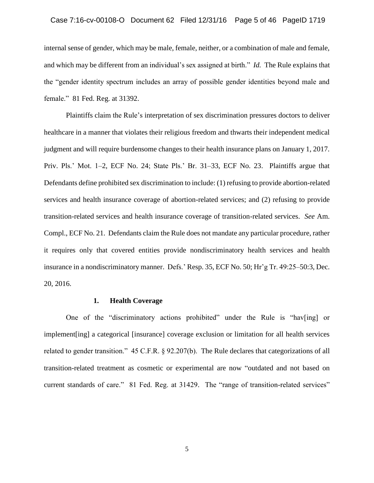### Case 7:16-cv-00108-O Document 62 Filed 12/31/16 Page 5 of 46 PageID 1719

internal sense of gender, which may be male, female, neither, or a combination of male and female, and which may be different from an individual's sex assigned at birth." *Id.* The Rule explains that the "gender identity spectrum includes an array of possible gender identities beyond male and female." 81 Fed. Reg. at 31392.

Plaintiffs claim the Rule's interpretation of sex discrimination pressures doctors to deliver healthcare in a manner that violates their religious freedom and thwarts their independent medical judgment and will require burdensome changes to their health insurance plans on January 1, 2017. Priv. Pls.' Mot. 1–2, ECF No. 24; State Pls.' Br. 31–33, ECF No. 23. Plaintiffs argue that Defendants define prohibited sex discrimination to include: (1) refusing to provide abortion-related services and health insurance coverage of abortion-related services; and (2) refusing to provide transition-related services and health insurance coverage of transition-related services. *See* Am. Compl., ECF No. 21. Defendants claim the Rule does not mandate any particular procedure, rather it requires only that covered entities provide nondiscriminatory health services and health insurance in a nondiscriminatory manner. Defs.' Resp. 35, ECF No. 50; Hr'g Tr. 49:25–50:3, Dec. 20, 2016.

#### **1. Health Coverage**

One of the "discriminatory actions prohibited" under the Rule is "hav[ing] or implement[ing] a categorical [insurance] coverage exclusion or limitation for all health services related to gender transition." 45 C.F.R. § 92.207(b). The Rule declares that categorizations of all transition-related treatment as cosmetic or experimental are now "outdated and not based on current standards of care." 81 Fed. Reg. at 31429. The "range of transition-related services"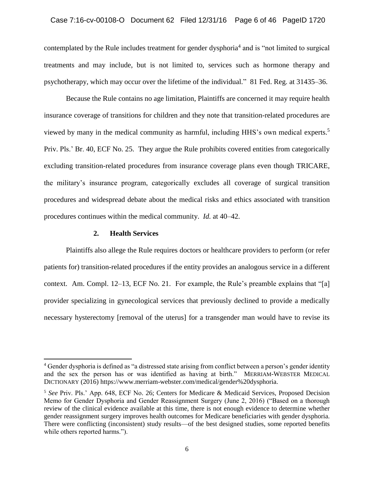contemplated by the Rule includes treatment for gender dysphoria<sup>4</sup> and is "not limited to surgical treatments and may include, but is not limited to, services such as hormone therapy and psychotherapy, which may occur over the lifetime of the individual." 81 Fed. Reg. at 31435–36.

Because the Rule contains no age limitation, Plaintiffs are concerned it may require health insurance coverage of transitions for children and they note that transition-related procedures are viewed by many in the medical community as harmful, including HHS's own medical experts.<sup>5</sup> Priv. Pls.' Br. 40, ECF No. 25. They argue the Rule prohibits covered entities from categorically excluding transition-related procedures from insurance coverage plans even though TRICARE, the military's insurance program, categorically excludes all coverage of surgical transition procedures and widespread debate about the medical risks and ethics associated with transition procedures continues within the medical community. *Id.* at 40–42.

### **2. Health Services**

 $\overline{a}$ 

Plaintiffs also allege the Rule requires doctors or healthcare providers to perform (or refer patients for) transition-related procedures if the entity provides an analogous service in a different context. Am. Compl. 12–13, ECF No. 21. For example, the Rule's preamble explains that "[a] provider specializing in gynecological services that previously declined to provide a medically necessary hysterectomy [removal of the uterus] for a transgender man would have to revise its

<sup>4</sup> Gender dysphoria is defined as "a distressed state arising from conflict between a person's gender identity and the sex the person has or was identified as having at birth." MERRIAM-WEBSTER MEDICAL DICTIONARY (2016) https://www.merriam-webster.com/medical/gender%20dysphoria.

<sup>5</sup> *See* Priv. Pls.' App. 648, ECF No. 26; Centers for Medicare & Medicaid Services, Proposed Decision Memo for Gender Dysphoria and Gender Reassignment Surgery (June 2, 2016) ("Based on a thorough review of the clinical evidence available at this time, there is not enough evidence to determine whether gender reassignment surgery improves health outcomes for Medicare beneficiaries with gender dysphoria. There were conflicting (inconsistent) study results—of the best designed studies, some reported benefits while others reported harms.").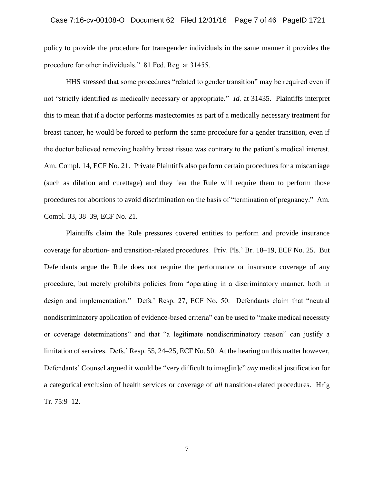policy to provide the procedure for transgender individuals in the same manner it provides the procedure for other individuals." 81 Fed. Reg. at 31455.

HHS stressed that some procedures "related to gender transition" may be required even if not "strictly identified as medically necessary or appropriate." *Id.* at 31435. Plaintiffs interpret this to mean that if a doctor performs mastectomies as part of a medically necessary treatment for breast cancer, he would be forced to perform the same procedure for a gender transition, even if the doctor believed removing healthy breast tissue was contrary to the patient's medical interest. Am. Compl. 14, ECF No. 21. Private Plaintiffs also perform certain procedures for a miscarriage (such as dilation and curettage) and they fear the Rule will require them to perform those procedures for abortions to avoid discrimination on the basis of "termination of pregnancy." Am. Compl. 33, 38–39, ECF No. 21.

Plaintiffs claim the Rule pressures covered entities to perform and provide insurance coverage for abortion- and transition-related procedures. Priv. Pls.' Br. 18–19, ECF No. 25. But Defendants argue the Rule does not require the performance or insurance coverage of any procedure, but merely prohibits policies from "operating in a discriminatory manner, both in design and implementation." Defs.' Resp. 27, ECF No. 50. Defendants claim that "neutral nondiscriminatory application of evidence-based criteria" can be used to "make medical necessity or coverage determinations" and that "a legitimate nondiscriminatory reason" can justify a limitation of services. Defs.' Resp. 55, 24–25, ECF No. 50. At the hearing on this matter however, Defendants' Counsel argued it would be "very difficult to imag[in]e" *any* medical justification for a categorical exclusion of health services or coverage of *all* transition-related procedures. Hr'g Tr. 75:9–12.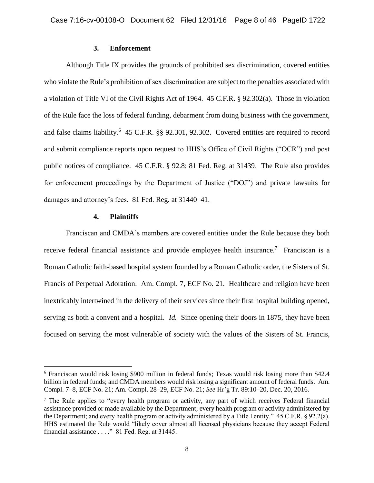## **3. Enforcement**

Although Title IX provides the grounds of prohibited sex discrimination, covered entities who violate the Rule's prohibition of sex discrimination are subject to the penalties associated with a violation of Title VI of the Civil Rights Act of 1964. 45 C.F.R. § 92.302(a). Those in violation of the Rule face the loss of federal funding, debarment from doing business with the government, and false claims liability.<sup>6</sup> 45 C.F.R. §§ 92.301, 92.302. Covered entities are required to record and submit compliance reports upon request to HHS's Office of Civil Rights ("OCR") and post public notices of compliance. 45 C.F.R. § 92.8; 81 Fed. Reg. at 31439. The Rule also provides for enforcement proceedings by the Department of Justice ("DOJ") and private lawsuits for damages and attorney's fees. 81 Fed. Reg. at 31440–41.

### **4. Plaintiffs**

 $\overline{a}$ 

Franciscan and CMDA's members are covered entities under the Rule because they both receive federal financial assistance and provide employee health insurance.<sup>7</sup> Franciscan is a Roman Catholic faith-based hospital system founded by a Roman Catholic order, the Sisters of St. Francis of Perpetual Adoration. Am. Compl. 7, ECF No. 21. Healthcare and religion have been inextricably intertwined in the delivery of their services since their first hospital building opened, serving as both a convent and a hospital. *Id.* Since opening their doors in 1875, they have been focused on serving the most vulnerable of society with the values of the Sisters of St. Francis,

<sup>6</sup> Franciscan would risk losing \$900 million in federal funds; Texas would risk losing more than \$42.4 billion in federal funds; and CMDA members would risk losing a significant amount of federal funds. Am. Compl. 7–8, ECF No. 21; Am. Compl. 28–29, ECF No. 21; *See* Hr'g Tr. 89:10–20, Dec. 20, 2016.

<sup>7</sup> The Rule applies to "every health program or activity, any part of which receives Federal financial assistance provided or made available by the Department; every health program or activity administered by the Department; and every health program or activity administered by a Title I entity." 45 C.F.R. § 92.2(a). HHS estimated the Rule would "likely cover almost all licensed physicians because they accept Federal financial assistance . . . ." 81 Fed. Reg. at 31445.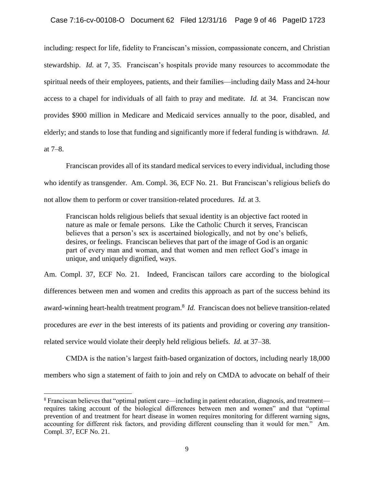including: respect for life, fidelity to Franciscan's mission, compassionate concern, and Christian stewardship. *Id.* at 7, 35. Franciscan's hospitals provide many resources to accommodate the spiritual needs of their employees, patients, and their families—including daily Mass and 24-hour access to a chapel for individuals of all faith to pray and meditate. *Id.* at 34. Franciscan now provides \$900 million in Medicare and Medicaid services annually to the poor, disabled, and elderly; and stands to lose that funding and significantly more if federal funding is withdrawn. *Id.* at 7–8.

Franciscan provides all of its standard medical services to every individual, including those who identify as transgender. Am. Compl. 36, ECF No. 21. But Franciscan's religious beliefs do not allow them to perform or cover transition-related procedures. *Id.* at 3.

Franciscan holds religious beliefs that sexual identity is an objective fact rooted in nature as male or female persons. Like the Catholic Church it serves, Franciscan believes that a person's sex is ascertained biologically, and not by one's beliefs, desires, or feelings. Franciscan believes that part of the image of God is an organic part of every man and woman, and that women and men reflect God's image in unique, and uniquely dignified, ways.

Am. Compl. 37, ECF No. 21. Indeed, Franciscan tailors care according to the biological differences between men and women and credits this approach as part of the success behind its award-winning heart-health treatment program.<sup>8</sup> *Id.* Franciscan does not believe transition-related procedures are *ever* in the best interests of its patients and providing or covering *any* transitionrelated service would violate their deeply held religious beliefs. *Id.* at 37–38.

CMDA is the nation's largest faith-based organization of doctors, including nearly 18,000 members who sign a statement of faith to join and rely on CMDA to advocate on behalf of their

 $\overline{a}$ 

<sup>8</sup> Franciscan believes that "optimal patient care—including in patient education, diagnosis, and treatment requires taking account of the biological differences between men and women" and that "optimal prevention of and treatment for heart disease in women requires monitoring for different warning signs, accounting for different risk factors, and providing different counseling than it would for men." Am. Compl. 37, ECF No. 21.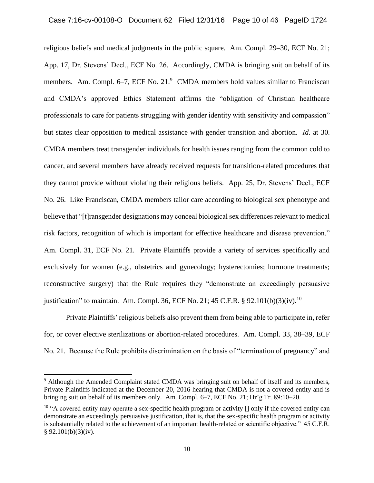religious beliefs and medical judgments in the public square. Am. Compl. 29–30, ECF No. 21; App. 17, Dr. Stevens' Decl., ECF No. 26. Accordingly, CMDA is bringing suit on behalf of its members. Am. Compl. 6–7, ECF No. 21.<sup>9</sup> CMDA members hold values similar to Franciscan and CMDA's approved Ethics Statement affirms the "obligation of Christian healthcare professionals to care for patients struggling with gender identity with sensitivity and compassion" but states clear opposition to medical assistance with gender transition and abortion. *Id.* at 30. CMDA members treat transgender individuals for health issues ranging from the common cold to cancer, and several members have already received requests for transition-related procedures that they cannot provide without violating their religious beliefs. App. 25, Dr. Stevens' Decl., ECF No. 26. Like Franciscan, CMDA members tailor care according to biological sex phenotype and believe that "[t]ransgender designations may conceal biological sex differences relevant to medical risk factors, recognition of which is important for effective healthcare and disease prevention." Am. Compl. 31, ECF No. 21. Private Plaintiffs provide a variety of services specifically and exclusively for women (e.g., obstetrics and gynecology; hysterectomies; hormone treatments; reconstructive surgery) that the Rule requires they "demonstrate an exceedingly persuasive justification" to maintain. Am. Compl. 36, ECF No. 21; 45 C.F.R. § 92.101(b)(3)(iv).<sup>10</sup>

Private Plaintiffs' religious beliefs also prevent them from being able to participate in, refer for, or cover elective sterilizations or abortion-related procedures. Am. Compl. 33, 38–39, ECF No. 21. Because the Rule prohibits discrimination on the basis of "termination of pregnancy" and

<sup>&</sup>lt;sup>9</sup> Although the Amended Complaint stated CMDA was bringing suit on behalf of itself and its members, Private Plaintiffs indicated at the December 20, 2016 hearing that CMDA is not a covered entity and is bringing suit on behalf of its members only. Am. Compl. 6–7, ECF No. 21; Hr'g Tr. 89:10–20.

<sup>&</sup>lt;sup>10</sup> "A covered entity may operate a sex-specific health program or activity  $\iint$  only if the covered entity can demonstrate an exceedingly persuasive justification, that is, that the sex-specific health program or activity is substantially related to the achievement of an important health-related or scientific objective." 45 C.F.R.  $§ 92.101(b)(3)(iv).$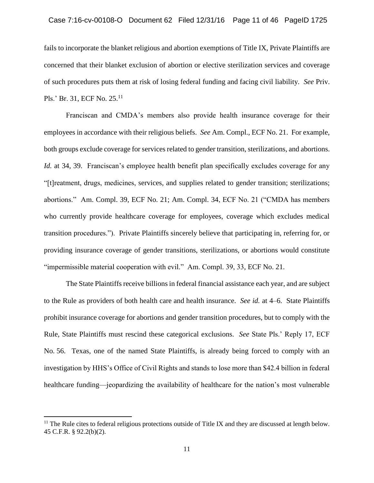fails to incorporate the blanket religious and abortion exemptions of Title IX, Private Plaintiffs are concerned that their blanket exclusion of abortion or elective sterilization services and coverage of such procedures puts them at risk of losing federal funding and facing civil liability. *See* Priv. Pls.' Br. 31, ECF No. 25.<sup>11</sup>

Franciscan and CMDA's members also provide health insurance coverage for their employees in accordance with their religious beliefs. *See* Am. Compl., ECF No. 21. For example, both groups exclude coverage for services related to gender transition, sterilizations, and abortions. *Id.* at 34, 39. Franciscan's employee health benefit plan specifically excludes coverage for any "[t]reatment, drugs, medicines, services, and supplies related to gender transition; sterilizations; abortions." Am. Compl. 39, ECF No. 21; Am. Compl. 34, ECF No. 21 ("CMDA has members who currently provide healthcare coverage for employees, coverage which excludes medical transition procedures."). Private Plaintiffs sincerely believe that participating in, referring for, or providing insurance coverage of gender transitions, sterilizations, or abortions would constitute "impermissible material cooperation with evil." Am. Compl. 39, 33, ECF No. 21.

The State Plaintiffs receive billions in federal financial assistance each year, and are subject to the Rule as providers of both health care and health insurance. *See id.* at 4–6. State Plaintiffs prohibit insurance coverage for abortions and gender transition procedures, but to comply with the Rule, State Plaintiffs must rescind these categorical exclusions. *See* State Pls.' Reply 17, ECF No. 56. Texas, one of the named State Plaintiffs, is already being forced to comply with an investigation by HHS's Office of Civil Rights and stands to lose more than \$42.4 billion in federal healthcare funding—jeopardizing the availability of healthcare for the nation's most vulnerable

 $\overline{a}$ 

<sup>&</sup>lt;sup>11</sup> The Rule cites to federal religious protections outside of Title IX and they are discussed at length below. 45 C.F.R. § 92.2(b)(2).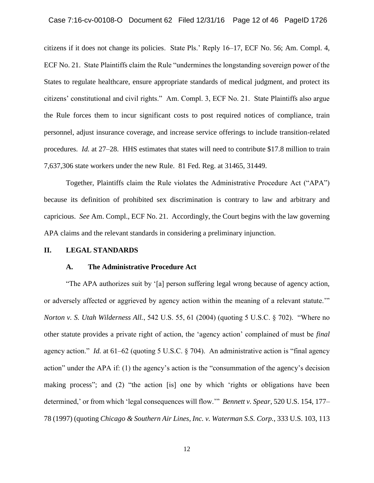citizens if it does not change its policies. State Pls.' Reply 16–17, ECF No. 56; Am. Compl. 4, ECF No. 21. State Plaintiffs claim the Rule "undermines the longstanding sovereign power of the States to regulate healthcare, ensure appropriate standards of medical judgment, and protect its citizens' constitutional and civil rights." Am. Compl. 3, ECF No. 21. State Plaintiffs also argue the Rule forces them to incur significant costs to post required notices of compliance, train personnel, adjust insurance coverage, and increase service offerings to include transition-related procedures. *Id.* at 27–28. HHS estimates that states will need to contribute \$17.8 million to train 7,637,306 state workers under the new Rule. 81 Fed. Reg. at 31465, 31449.

Together, Plaintiffs claim the Rule violates the Administrative Procedure Act ("APA") because its definition of prohibited sex discrimination is contrary to law and arbitrary and capricious. *See* Am. Compl., ECF No. 21. Accordingly, the Court begins with the law governing APA claims and the relevant standards in considering a preliminary injunction.

#### **II. LEGAL STANDARDS**

### **A. The Administrative Procedure Act**

"The APA authorizes suit by '[a] person suffering legal wrong because of agency action, or adversely affected or aggrieved by agency action within the meaning of a relevant statute.'" *Norton v. S. Utah Wilderness All.*, 542 U.S. 55, 61 (2004) (quoting 5 U.S.C. § 702). "Where no other statute provides a private right of action, the 'agency action' complained of must be *final* agency action." *Id.* at 61–62 (quoting 5 U.S.C. § 704). An administrative action is "final agency action" under the APA if: (1) the agency's action is the "consummation of the agency's decision making process"; and (2) "the action [is] one by which 'rights or obligations have been determined,' or from which 'legal consequences will flow.'" *Bennett v. Spear*, 520 U.S. 154, 177– 78 (1997) (quoting *Chicago & Southern Air Lines, Inc. v. Waterman S.S. Corp.*, 333 U.S. 103, 113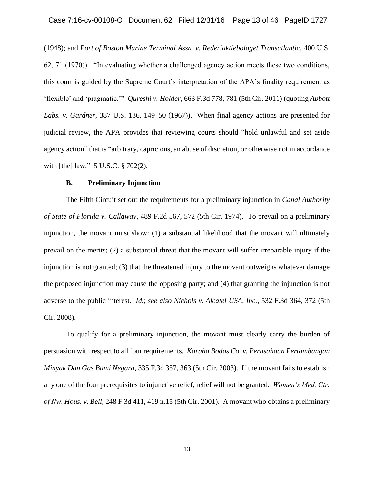(1948); and *Port of Boston Marine Terminal Assn. v. Rederiaktiebolaget Transatlantic*, 400 U.S. 62, 71 (1970)). "In evaluating whether a challenged agency action meets these two conditions, this court is guided by the Supreme Court's interpretation of the APA's finality requirement as 'flexible' and 'pragmatic.'" *Qureshi v. Holder*, 663 F.3d 778, 781 (5th Cir. 2011) (quoting *Abbott Labs. v. Gardner*, 387 U.S. 136, 149–50 (1967)). When final agency actions are presented for judicial review, the APA provides that reviewing courts should "hold unlawful and set aside agency action" that is "arbitrary, capricious, an abuse of discretion, or otherwise not in accordance with [the] law." 5 U.S.C. § 702(2).

### **B. Preliminary Injunction**

The Fifth Circuit set out the requirements for a preliminary injunction in *Canal Authority of State of Florida v. Callaway*, 489 F.2d 567, 572 (5th Cir. 1974). To prevail on a preliminary injunction, the movant must show: (1) a substantial likelihood that the movant will ultimately prevail on the merits; (2) a substantial threat that the movant will suffer irreparable injury if the injunction is not granted; (3) that the threatened injury to the movant outweighs whatever damage the proposed injunction may cause the opposing party; and (4) that granting the injunction is not adverse to the public interest. *Id.*; *see also Nichols v. Alcatel USA, Inc.*, 532 F.3d 364, 372 (5th Cir. 2008).

To qualify for a preliminary injunction, the movant must clearly carry the burden of persuasion with respect to all four requirements. *Karaha Bodas Co. v. Perusahaan Pertambangan Minyak Dan Gas Bumi Negara*, 335 F.3d 357, 363 (5th Cir. 2003). If the movant fails to establish any one of the four prerequisites to injunctive relief, relief will not be granted. *Women's Med. Ctr. of Nw. Hous. v. Bell*, 248 F.3d 411, 419 n.15 (5th Cir. 2001). A movant who obtains a preliminary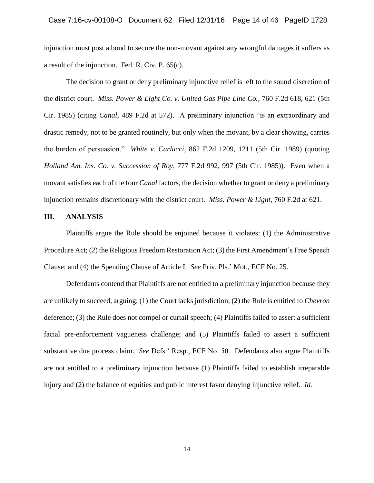injunction must post a bond to secure the non-movant against any wrongful damages it suffers as a result of the injunction. Fed. R. Civ. P. 65(c).

The decision to grant or deny preliminary injunctive relief is left to the sound discretion of the district court. *Miss. Power & Light Co. v. United Gas Pipe Line Co.*, 760 F.2d 618, 621 (5th Cir. 1985) (citing *Canal*, 489 F.2d at 572). A preliminary injunction "is an extraordinary and drastic remedy, not to be granted routinely, but only when the movant, by a clear showing, carries the burden of persuasion." *White v. Carlucci*, 862 F.2d 1209, 1211 (5th Cir. 1989) (quoting *Holland Am. Ins. Co. v. Succession of Roy*, 777 F.2d 992, 997 (5th Cir. 1985)). Even when a movant satisfies each of the four *Canal* factors, the decision whether to grant or deny a preliminary injunction remains discretionary with the district court. *Miss. Power & Light*, 760 F.2d at 621.

### **III. ANALYSIS**

Plaintiffs argue the Rule should be enjoined because it violates: (1) the Administrative Procedure Act; (2) the Religious Freedom Restoration Act; (3) the First Amendment's Free Speech Clause; and (4) the Spending Clause of Article I. *See* Priv. Pls.' Mot., ECF No. 25.

Defendants contend that Plaintiffs are not entitled to a preliminary injunction because they are unlikely to succeed, arguing: (1) the Court lacks jurisdiction; (2) the Rule is entitled to *Chevron* deference; (3) the Rule does not compel or curtail speech; (4) Plaintiffs failed to assert a sufficient facial pre-enforcement vagueness challenge; and (5) Plaintiffs failed to assert a sufficient substantive due process claim. *See* Defs.' Resp., ECF No. 50. Defendants also argue Plaintiffs are not entitled to a preliminary injunction because (1) Plaintiffs failed to establish irreparable injury and (2) the balance of equities and public interest favor denying injunctive relief. *Id.*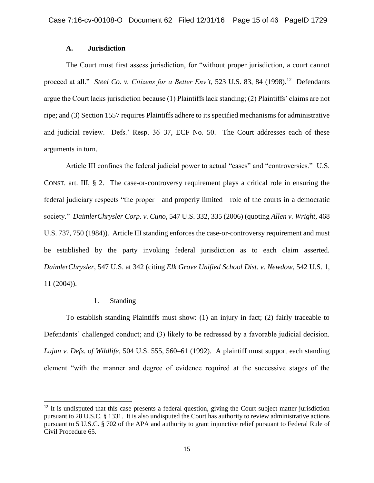# **A. Jurisdiction**

The Court must first assess jurisdiction, for "without proper jurisdiction, a court cannot proceed at all." *Steel Co. v. Citizens for a Better Env't*, 523 U.S. 83, 84 (1998).<sup>12</sup> Defendants argue the Court lacks jurisdiction because (1) Plaintiffs lack standing; (2) Plaintiffs' claims are not ripe; and (3) Section 1557 requires Plaintiffs adhere to its specified mechanisms for administrative and judicial review. Defs.' Resp. 36–37, ECF No. 50. The Court addresses each of these arguments in turn.

Article III confines the federal judicial power to actual "cases" and "controversies." U.S. CONST. art. III, § 2. The case-or-controversy requirement plays a critical role in ensuring the federal judiciary respects "the proper—and properly limited—role of the courts in a democratic society." *DaimlerChrysler Corp. v. Cuno*, 547 U.S. 332, 335 (2006) (quoting *Allen v. Wright*, 468 U.S. 737, 750 (1984)). Article III standing enforces the case-or-controversy requirement and must be established by the party invoking federal jurisdiction as to each claim asserted. *DaimlerChrysler*, 547 U.S. at 342 (citing *Elk Grove Unified School Dist. v. Newdow*, 542 U.S. 1, 11 (2004)).

# 1. Standing

l

To establish standing Plaintiffs must show: (1) an injury in fact; (2) fairly traceable to Defendants' challenged conduct; and (3) likely to be redressed by a favorable judicial decision. *Lujan v. Defs. of Wildlife*, 504 U.S. 555, 560–61 (1992). A plaintiff must support each standing element "with the manner and degree of evidence required at the successive stages of the

 $12$  It is undisputed that this case presents a federal question, giving the Court subject matter jurisdiction pursuant to 28 U.S.C. § 1331. It is also undisputed the Court has authority to review administrative actions pursuant to 5 U.S.C. § 702 of the APA and authority to grant injunctive relief pursuant to Federal Rule of Civil Procedure 65.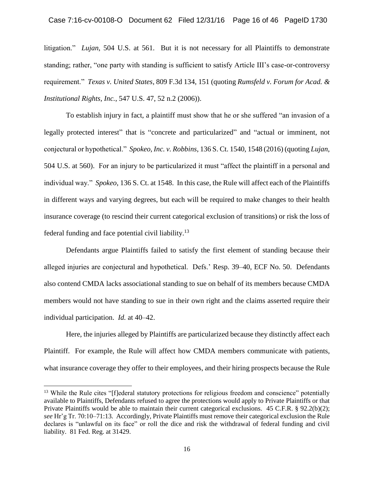litigation." *Lujan*, 504 U.S. at 561. But it is not necessary for all Plaintiffs to demonstrate standing; rather, "one party with standing is sufficient to satisfy Article III's case-or-controversy requirement." *Texas v. United States*, 809 F.3d 134, 151 (quoting *Rumsfeld v. Forum for Acad. & Institutional Rights, Inc.*, 547 U.S. 47, 52 n.2 (2006)).

To establish injury in fact, a plaintiff must show that he or she suffered "an invasion of a legally protected interest" that is "concrete and particularized" and "actual or imminent, not conjectural or hypothetical." *Spokeo, Inc. v. Robbins*, 136 S. Ct. 1540, 1548 (2016) (quoting *Lujan*, 504 U.S. at 560). For an injury to be particularized it must "affect the plaintiff in a personal and individual way." *Spokeo*, 136 S. Ct. at 1548. In this case, the Rule will affect each of the Plaintiffs in different ways and varying degrees, but each will be required to make changes to their health insurance coverage (to rescind their current categorical exclusion of transitions) or risk the loss of federal funding and face potential civil liability.<sup>13</sup>

Defendants argue Plaintiffs failed to satisfy the first element of standing because their alleged injuries are conjectural and hypothetical. Defs.' Resp. 39–40, ECF No. 50. Defendants also contend CMDA lacks associational standing to sue on behalf of its members because CMDA members would not have standing to sue in their own right and the claims asserted require their individual participation. *Id.* at 40–42.

Here, the injuries alleged by Plaintiffs are particularized because they distinctly affect each Plaintiff. For example, the Rule will affect how CMDA members communicate with patients, what insurance coverage they offer to their employees, and their hiring prospects because the Rule

<sup>&</sup>lt;sup>13</sup> While the Rule cites "[f]ederal statutory protections for religious freedom and conscience" potentially available to Plaintiffs, Defendants refused to agree the protections would apply to Private Plaintiffs or that Private Plaintiffs would be able to maintain their current categorical exclusions. 45 C.F.R. § 92.2(b)(2); *see* Hr'g Tr. 70:10–71:13. Accordingly, Private Plaintiffs must remove their categorical exclusion the Rule declares is "unlawful on its face" or roll the dice and risk the withdrawal of federal funding and civil liability. 81 Fed. Reg. at 31429.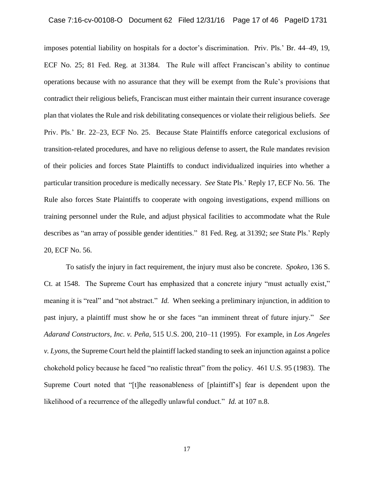imposes potential liability on hospitals for a doctor's discrimination. Priv. Pls.' Br. 44–49, 19, ECF No. 25; 81 Fed. Reg. at 31384. The Rule will affect Franciscan's ability to continue operations because with no assurance that they will be exempt from the Rule's provisions that contradict their religious beliefs, Franciscan must either maintain their current insurance coverage plan that violates the Rule and risk debilitating consequences or violate their religious beliefs. *See* Priv. Pls.' Br. 22–23, ECF No. 25. Because State Plaintiffs enforce categorical exclusions of transition-related procedures, and have no religious defense to assert, the Rule mandates revision of their policies and forces State Plaintiffs to conduct individualized inquiries into whether a particular transition procedure is medically necessary. *See* State Pls.' Reply 17, ECF No. 56. The Rule also forces State Plaintiffs to cooperate with ongoing investigations, expend millions on training personnel under the Rule, and adjust physical facilities to accommodate what the Rule describes as "an array of possible gender identities." 81 Fed. Reg. at 31392; *see* State Pls.' Reply 20, ECF No. 56.

To satisfy the injury in fact requirement, the injury must also be concrete. *Spokeo*, 136 S. Ct. at 1548. The Supreme Court has emphasized that a concrete injury "must actually exist," meaning it is "real" and "not abstract." *Id.* When seeking a preliminary injunction, in addition to past injury, a plaintiff must show he or she faces "an imminent threat of future injury." *See Adarand Constructors, Inc. v. Peña*, 515 U.S. 200, 210–11 (1995). For example, in *Los Angeles v. Lyons*, the Supreme Court held the plaintiff lacked standing to seek an injunction against a police chokehold policy because he faced "no realistic threat" from the policy. 461 U.S. 95 (1983). The Supreme Court noted that "[t]he reasonableness of [plaintiff's] fear is dependent upon the likelihood of a recurrence of the allegedly unlawful conduct." *Id.* at 107 n.8.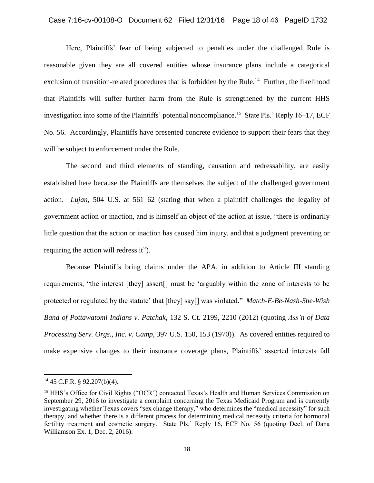### Case 7:16-cv-00108-O Document 62 Filed 12/31/16 Page 18 of 46 PageID 1732

Here, Plaintiffs' fear of being subjected to penalties under the challenged Rule is reasonable given they are all covered entities whose insurance plans include a categorical exclusion of transition-related procedures that is forbidden by the Rule.<sup>14</sup> Further, the likelihood that Plaintiffs will suffer further harm from the Rule is strengthened by the current HHS investigation into some of the Plaintiffs' potential noncompliance.<sup>15</sup> State Pls.' Reply 16–17, ECF No. 56. Accordingly, Plaintiffs have presented concrete evidence to support their fears that they will be subject to enforcement under the Rule.

The second and third elements of standing, causation and redressability, are easily established here because the Plaintiffs are themselves the subject of the challenged government action. *Lujan*, 504 U.S. at 561–62 (stating that when a plaintiff challenges the legality of government action or inaction, and is himself an object of the action at issue, "there is ordinarily little question that the action or inaction has caused him injury, and that a judgment preventing or requiring the action will redress it").

Because Plaintiffs bring claims under the APA, in addition to Article III standing requirements, "the interest [they] assert[] must be 'arguably within the zone of interests to be protected or regulated by the statute' that [they] say[] was violated." *Match-E-Be-Nash-She-Wish Band of Pottawatomi Indians v. Patchak*, 132 S. Ct. 2199, 2210 (2012) (quoting *Ass'n of Data Processing Serv. Orgs., Inc. v. Camp*, 397 U.S. 150, 153 (1970)). As covered entities required to make expensive changes to their insurance coverage plans, Plaintiffs' asserted interests fall

 $14$  45 C.F.R. § 92.207(b)(4).

<sup>&</sup>lt;sup>15</sup> HHS's Office for Civil Rights ("OCR") contacted Texas's Health and Human Services Commission on September 29, 2016 to investigate a complaint concerning the Texas Medicaid Program and is currently investigating whether Texas covers "sex change therapy," who determines the "medical necessity" for such therapy, and whether there is a different process for determining medical necessity criteria for hormonal fertility treatment and cosmetic surgery. State Pls.' Reply 16, ECF No. 56 (quoting Decl. of Dana Williamson Ex. 1, Dec. 2, 2016).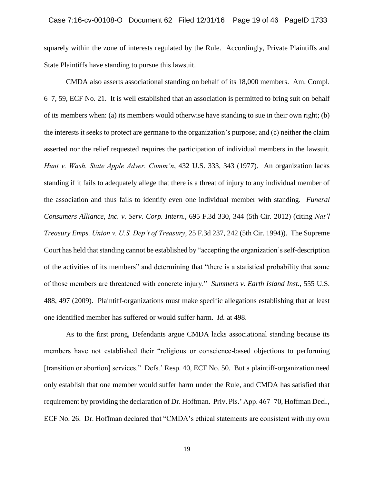squarely within the zone of interests regulated by the Rule. Accordingly, Private Plaintiffs and State Plaintiffs have standing to pursue this lawsuit.

CMDA also asserts associational standing on behalf of its 18,000 members. Am. Compl. 6–7, 59, ECF No. 21. It is well established that an association is permitted to bring suit on behalf of its members when: (a) its members would otherwise have standing to sue in their own right; (b) the interests it seeks to protect are germane to the organization's purpose; and (c) neither the claim asserted nor the relief requested requires the participation of individual members in the lawsuit. *Hunt v. Wash. State Apple Adver. Comm'n*, 432 U.S. 333, 343 (1977). An organization lacks standing if it fails to adequately allege that there is a threat of injury to any individual member of the association and thus fails to identify even one individual member with standing. *Funeral Consumers Alliance, Inc. v. Serv. Corp. Intern.*, 695 F.3d 330, 344 (5th Cir. 2012) (citing *Nat'l Treasury Emps. Union v. U.S. Dep't of Treasury*, 25 F.3d 237, 242 (5th Cir. 1994)). The Supreme Court has held that standing cannot be established by "accepting the organization's self-description of the activities of its members" and determining that "there is a statistical probability that some of those members are threatened with concrete injury." *Summers v. Earth Island Inst.*, 555 U.S. 488, 497 (2009). Plaintiff-organizations must make specific allegations establishing that at least one identified member has suffered or would suffer harm. *Id.* at 498.

As to the first prong, Defendants argue CMDA lacks associational standing because its members have not established their "religious or conscience-based objections to performing [transition or abortion] services." Defs.' Resp. 40, ECF No. 50. But a plaintiff-organization need only establish that one member would suffer harm under the Rule, and CMDA has satisfied that requirement by providing the declaration of Dr. Hoffman. Priv. Pls.' App. 467–70, Hoffman Decl., ECF No. 26. Dr. Hoffman declared that "CMDA's ethical statements are consistent with my own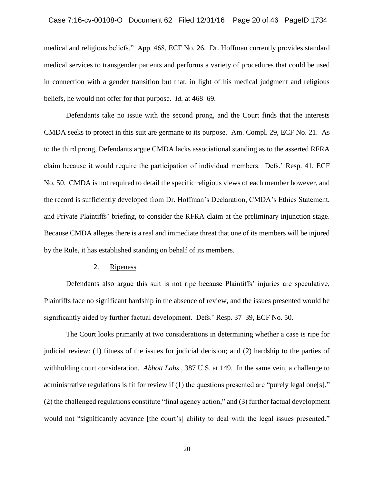medical and religious beliefs." App. 468, ECF No. 26. Dr. Hoffman currently provides standard medical services to transgender patients and performs a variety of procedures that could be used in connection with a gender transition but that, in light of his medical judgment and religious beliefs, he would not offer for that purpose. *Id.* at 468–69.

Defendants take no issue with the second prong, and the Court finds that the interests CMDA seeks to protect in this suit are germane to its purpose. Am. Compl. 29, ECF No. 21. As to the third prong, Defendants argue CMDA lacks associational standing as to the asserted RFRA claim because it would require the participation of individual members. Defs.' Resp. 41, ECF No. 50. CMDA is not required to detail the specific religious views of each member however, and the record is sufficiently developed from Dr. Hoffman's Declaration, CMDA's Ethics Statement, and Private Plaintiffs' briefing, to consider the RFRA claim at the preliminary injunction stage. Because CMDA alleges there is a real and immediate threat that one of its members will be injured by the Rule, it has established standing on behalf of its members.

### 2. Ripeness

Defendants also argue this suit is not ripe because Plaintiffs' injuries are speculative, Plaintiffs face no significant hardship in the absence of review, and the issues presented would be significantly aided by further factual development. Defs.' Resp. 37–39, ECF No. 50.

The Court looks primarily at two considerations in determining whether a case is ripe for judicial review: (1) fitness of the issues for judicial decision; and (2) hardship to the parties of withholding court consideration. *Abbott Labs.*, 387 U.S. at 149. In the same vein, a challenge to administrative regulations is fit for review if (1) the questions presented are "purely legal one[s]," (2) the challenged regulations constitute "final agency action," and (3) further factual development would not "significantly advance [the court's] ability to deal with the legal issues presented."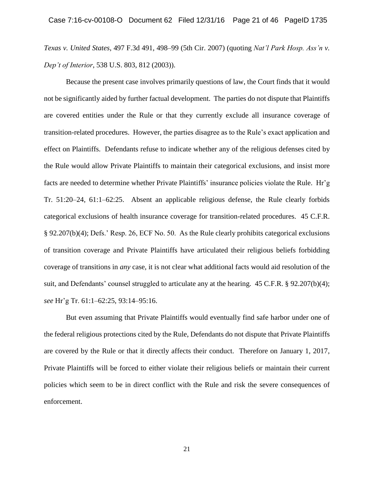*Texas v. United States*, 497 F.3d 491, 498–99 (5th Cir. 2007) (quoting *Nat'l Park Hosp. Ass'n v. Dep't of Interior*, 538 U.S. 803, 812 (2003)).

Because the present case involves primarily questions of law, the Court finds that it would not be significantly aided by further factual development. The parties do not dispute that Plaintiffs are covered entities under the Rule or that they currently exclude all insurance coverage of transition-related procedures. However, the parties disagree as to the Rule's exact application and effect on Plaintiffs. Defendants refuse to indicate whether any of the religious defenses cited by the Rule would allow Private Plaintiffs to maintain their categorical exclusions, and insist more facts are needed to determine whether Private Plaintiffs' insurance policies violate the Rule. Hr'g Tr. 51:20–24, 61:1–62:25. Absent an applicable religious defense, the Rule clearly forbids categorical exclusions of health insurance coverage for transition-related procedures. 45 C.F.R. § 92.207(b)(4); Defs.' Resp. 26, ECF No. 50. As the Rule clearly prohibits categorical exclusions of transition coverage and Private Plaintiffs have articulated their religious beliefs forbidding coverage of transitions in *any* case, it is not clear what additional facts would aid resolution of the suit, and Defendants' counsel struggled to articulate any at the hearing. 45 C.F.R. § 92.207(b)(4); *see* Hr'g Tr. 61:1–62:25, 93:14–95:16.

But even assuming that Private Plaintiffs would eventually find safe harbor under one of the federal religious protections cited by the Rule, Defendants do not dispute that Private Plaintiffs are covered by the Rule or that it directly affects their conduct. Therefore on January 1, 2017, Private Plaintiffs will be forced to either violate their religious beliefs or maintain their current policies which seem to be in direct conflict with the Rule and risk the severe consequences of enforcement.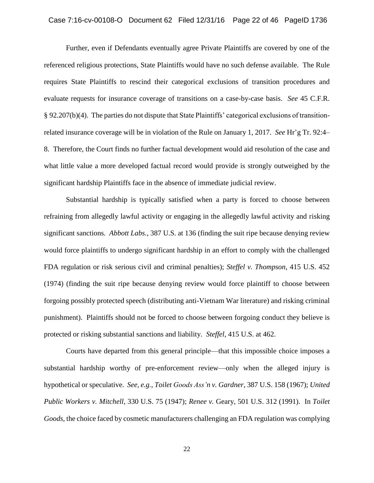Further, even if Defendants eventually agree Private Plaintiffs are covered by one of the referenced religious protections, State Plaintiffs would have no such defense available. The Rule requires State Plaintiffs to rescind their categorical exclusions of transition procedures and evaluate requests for insurance coverage of transitions on a case-by-case basis. *See* 45 C.F.R. § 92.207(b)(4). The parties do not dispute that State Plaintiffs' categorical exclusions of transitionrelated insurance coverage will be in violation of the Rule on January 1, 2017. *See* Hr'g Tr. 92:4– 8. Therefore, the Court finds no further factual development would aid resolution of the case and what little value a more developed factual record would provide is strongly outweighed by the significant hardship Plaintiffs face in the absence of immediate judicial review.

Substantial hardship is typically satisfied when a party is forced to choose between refraining from allegedly lawful activity or engaging in the allegedly lawful activity and risking significant sanctions. *Abbott Labs.*, 387 U.S. at 136 (finding the suit ripe because denying review would force plaintiffs to undergo significant hardship in an effort to comply with the challenged FDA regulation or risk serious civil and criminal penalties); *Steffel v. Thompson*, 415 U.S. 452 (1974) (finding the suit ripe because denying review would force plaintiff to choose between forgoing possibly protected speech (distributing anti-Vietnam War literature) and risking criminal punishment). Plaintiffs should not be forced to choose between forgoing conduct they believe is protected or risking substantial sanctions and liability. *Steffel*, 415 U.S. at 462.

Courts have departed from this general principle—that this impossible choice imposes a substantial hardship worthy of pre-enforcement review—only when the alleged injury is hypothetical or speculative. *See, e.g.*, *Toilet Goods Ass'n v. Gardner*, 387 U.S. 158 (1967); *United Public Workers v. Mitchell*, 330 U.S. 75 (1947); *Renee v.* Geary, 501 U.S. 312 (1991). In *Toilet Goods*, the choice faced by cosmetic manufacturers challenging an FDA regulation was complying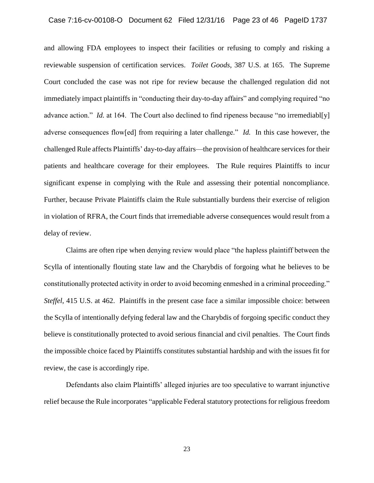### Case 7:16-cv-00108-O Document 62 Filed 12/31/16 Page 23 of 46 PageID 1737

and allowing FDA employees to inspect their facilities or refusing to comply and risking a reviewable suspension of certification services. *Toilet Goods*, 387 U.S. at 165. The Supreme Court concluded the case was not ripe for review because the challenged regulation did not immediately impact plaintiffs in "conducting their day-to-day affairs" and complying required "no advance action." *Id.* at 164. The Court also declined to find ripeness because "no irremediables" adverse consequences flow[ed] from requiring a later challenge." *Id.* In this case however, the challenged Rule affects Plaintiffs' day-to-day affairs—the provision of healthcare services for their patients and healthcare coverage for their employees. The Rule requires Plaintiffs to incur significant expense in complying with the Rule and assessing their potential noncompliance. Further, because Private Plaintiffs claim the Rule substantially burdens their exercise of religion in violation of RFRA, the Court finds that irremediable adverse consequences would result from a delay of review.

Claims are often ripe when denying review would place "the hapless plaintiff between the Scylla of intentionally flouting state law and the Charybdis of forgoing what he believes to be constitutionally protected activity in order to avoid becoming enmeshed in a criminal proceeding." *Steffel*, 415 U.S. at 462. Plaintiffs in the present case face a similar impossible choice: between the Scylla of intentionally defying federal law and the Charybdis of forgoing specific conduct they believe is constitutionally protected to avoid serious financial and civil penalties. The Court finds the impossible choice faced by Plaintiffs constitutes substantial hardship and with the issues fit for review, the case is accordingly ripe.

Defendants also claim Plaintiffs' alleged injuries are too speculative to warrant injunctive relief because the Rule incorporates "applicable Federal statutory protections for religious freedom

23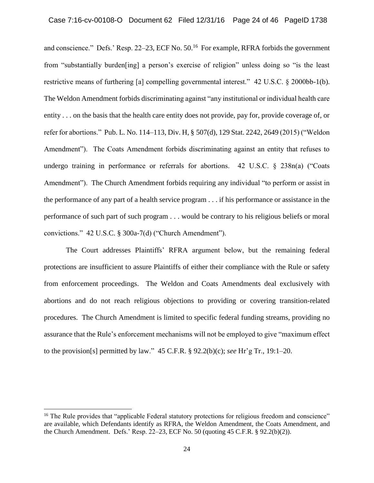and conscience." Defs.' Resp. 22–23, ECF No. 50.<sup>16</sup> For example, RFRA forbids the government from "substantially burden[ing] a person's exercise of religion" unless doing so "is the least restrictive means of furthering [a] compelling governmental interest." 42 U.S.C. § 2000bb-1(b). The Weldon Amendment forbids discriminating against "any institutional or individual health care entity . . . on the basis that the health care entity does not provide, pay for, provide coverage of, or refer for abortions." Pub. L. No. 114–113, Div. H, § 507(d), 129 Stat. 2242, 2649 (2015) ("Weldon Amendment"). The Coats Amendment forbids discriminating against an entity that refuses to undergo training in performance or referrals for abortions. 42 U.S.C. § 238n(a) ("Coats Amendment"). The Church Amendment forbids requiring any individual "to perform or assist in the performance of any part of a health service program . . . if his performance or assistance in the performance of such part of such program . . . would be contrary to his religious beliefs or moral convictions." 42 U.S.C. § 300a-7(d) ("Church Amendment").

The Court addresses Plaintiffs' RFRA argument below, but the remaining federal protections are insufficient to assure Plaintiffs of either their compliance with the Rule or safety from enforcement proceedings. The Weldon and Coats Amendments deal exclusively with abortions and do not reach religious objections to providing or covering transition-related procedures. The Church Amendment is limited to specific federal funding streams, providing no assurance that the Rule's enforcement mechanisms will not be employed to give "maximum effect to the provision[s] permitted by law." 45 C.F.R. § 92.2(b)(c); *see* Hr'g Tr., 19:1–20.

<sup>&</sup>lt;sup>16</sup> The Rule provides that "applicable Federal statutory protections for religious freedom and conscience" are available, which Defendants identify as RFRA, the Weldon Amendment, the Coats Amendment, and the Church Amendment. Defs.' Resp. 22–23, ECF No. 50 (quoting 45 C.F.R. § 92.2(b)(2)).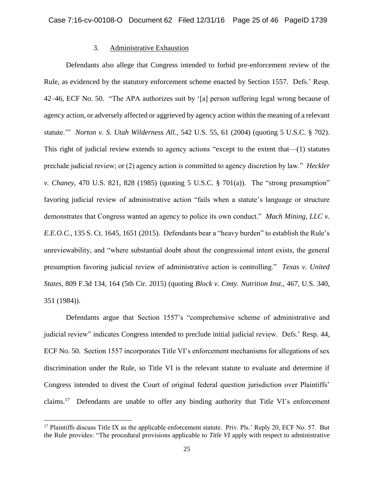# 3. Administrative Exhaustion

Defendants also allege that Congress intended to forbid pre-enforcement review of the Rule, as evidenced by the statutory enforcement scheme enacted by Section 1557. Defs.' Resp. 42–46, ECF No. 50. "The APA authorizes suit by '[a] person suffering legal wrong because of agency action, or adversely affected or aggrieved by agency action within the meaning of a relevant statute.'" *Norton v. S. Utah Wilderness All.*, 542 U.S. 55, 61 (2004) (quoting 5 U.S.C. § 702). This right of judicial review extends to agency actions "except to the extent that—(1) statutes preclude judicial review; or (2) agency action is committed to agency discretion by law." *Heckler v. Chaney*, 470 U.S. 821, 828 (1985) (quoting 5 U.S.C. § 701(a)). The "strong presumption" favoring judicial review of administrative action "fails when a statute's language or structure demonstrates that Congress wanted an agency to police its own conduct." *Mach Mining, LLC v. E.E.O.C.*, 135 S. Ct. 1645, 1651 (2015). Defendants bear a "heavy burden" to establish the Rule's unreviewability, and "where substantial doubt about the congressional intent exists, the general presumption favoring judicial review of administrative action is controlling." *Texas v. United States*, 809 F.3d 134, 164 (5th Cir. 2015) (quoting *Block v. Cmty. Nutrition Inst.*, 467, U.S. 340, 351 (1984)).

Defendants argue that Section 1557's "comprehensive scheme of administrative and judicial review" indicates Congress intended to preclude initial judicial review. Defs.' Resp. 44, ECF No. 50. Section 1557 incorporates Title VI's enforcement mechanisms for allegations of sex discrimination under the Rule, so Title VI is the relevant statute to evaluate and determine if Congress intended to divest the Court of original federal question jurisdiction over Plaintiffs' claims.<sup>17</sup> Defendants are unable to offer any binding authority that Title VI's enforcement

 $\overline{a}$ 

<sup>&</sup>lt;sup>17</sup> Plaintiffs discuss Title IX as the applicable enforcement statute. Priv. Pls.' Reply 20, ECF No. 57. But the Rule provides: "The procedural provisions applicable to *Title VI* apply with respect to administrative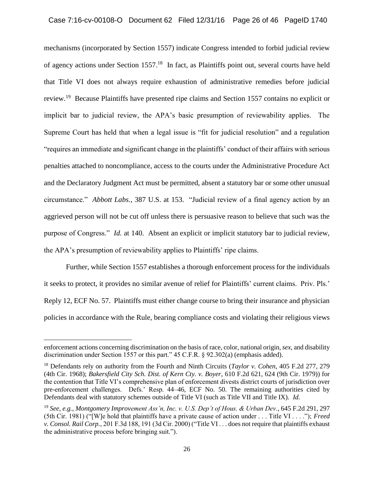mechanisms (incorporated by Section 1557) indicate Congress intended to forbid judicial review of agency actions under Section 1557.<sup>18</sup> In fact, as Plaintiffs point out, several courts have held that Title VI does not always require exhaustion of administrative remedies before judicial review.<sup>19</sup> Because Plaintiffs have presented ripe claims and Section 1557 contains no explicit or implicit bar to judicial review, the APA's basic presumption of reviewability applies. The Supreme Court has held that when a legal issue is "fit for judicial resolution" and a regulation "requires an immediate and significant change in the plaintiffs' conduct of their affairs with serious penalties attached to noncompliance, access to the courts under the Administrative Procedure Act and the Declaratory Judgment Act must be permitted, absent a statutory bar or some other unusual circumstance." *Abbott Labs.*, 387 U.S. at 153. "Judicial review of a final agency action by an aggrieved person will not be cut off unless there is persuasive reason to believe that such was the purpose of Congress." *Id.* at 140. Absent an explicit or implicit statutory bar to judicial review, the APA's presumption of reviewability applies to Plaintiffs' ripe claims.

Further, while Section 1557 establishes a thorough enforcement process for the individuals it seeks to protect, it provides no similar avenue of relief for Plaintiffs' current claims. Priv. Pls.' Reply 12, ECF No. 57. Plaintiffs must either change course to bring their insurance and physician policies in accordance with the Rule, bearing compliance costs and violating their religious views

enforcement actions concerning discrimination on the basis of race, color, national origin, *sex*, and disability discrimination under Section 1557 or this part." 45 C.F.R. § 92.302(a) (emphasis added).

<sup>18</sup> Defendants rely on authority from the Fourth and Ninth Circuits (*Taylor v. Cohen*, 405 F.2d 277, 279 (4th Cir. 1968); *Bakersfield City Sch. Dist. of Kern Cty. v. Boyer*, 610 F.2d 621, 624 (9th Cir. 1979)) for the contention that Title VI's comprehensive plan of enforcement divests district courts of jurisdiction over pre-enforcement challenges. Defs.' Resp. 44–46, ECF No. 50. The remaining authorities cited by Defendants deal with statutory schemes outside of Title VI (such as Title VII and Title IX). *Id.*

<sup>19</sup> *See, e.g.*, *Montgomery Improvement Ass'n, Inc. v. U.S. Dep't of Hous. & Urban Dev.*, 645 F.2d 291, 297 (5th Cir. 1981) ("[W]e hold that plaintiffs have a private cause of action under . . . Title VI . . . ."); *Freed v. Consol. Rail Corp.*, 201 F.3d 188, 191 (3d Cir. 2000) ("Title VI . . . does not require that plaintiffs exhaust the administrative process before bringing suit.").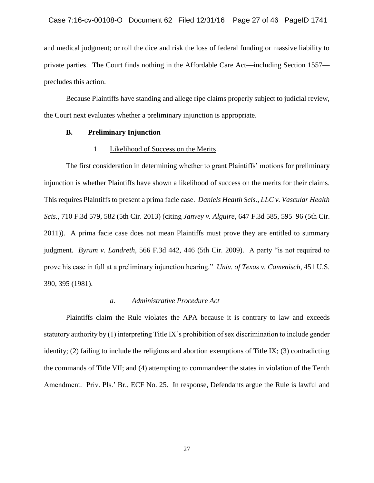and medical judgment; or roll the dice and risk the loss of federal funding or massive liability to private parties. The Court finds nothing in the Affordable Care Act—including Section 1557 precludes this action.

Because Plaintiffs have standing and allege ripe claims properly subject to judicial review, the Court next evaluates whether a preliminary injunction is appropriate.

## **B. Preliminary Injunction**

### 1. Likelihood of Success on the Merits

The first consideration in determining whether to grant Plaintiffs' motions for preliminary injunction is whether Plaintiffs have shown a likelihood of success on the merits for their claims. This requires Plaintiffs to present a prima facie case. *Daniels Health Scis., LLC v. Vascular Health Scis.*, 710 F.3d 579, 582 (5th Cir. 2013) (citing *Janvey v. Alguire*, 647 F.3d 585, 595–96 (5th Cir. 2011)). A prima facie case does not mean Plaintiffs must prove they are entitled to summary judgment. *Byrum v. Landreth*, 566 F.3d 442, 446 (5th Cir. 2009). A party "is not required to prove his case in full at a preliminary injunction hearing." *Univ. of Texas v. Camenisch*, 451 U.S. 390, 395 (1981).

### *a. Administrative Procedure Act*

Plaintiffs claim the Rule violates the APA because it is contrary to law and exceeds statutory authority by (1) interpreting Title IX's prohibition of sex discrimination to include gender identity; (2) failing to include the religious and abortion exemptions of Title IX; (3) contradicting the commands of Title VII; and (4) attempting to commandeer the states in violation of the Tenth Amendment. Priv. Pls.' Br., ECF No. 25. In response, Defendants argue the Rule is lawful and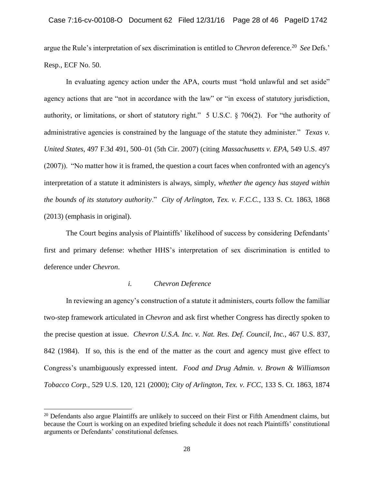argue the Rule's interpretation of sex discrimination is entitled to *Chevron* deference.<sup>20</sup> See Defs.' Resp., ECF No. 50.

In evaluating agency action under the APA, courts must "hold unlawful and set aside" agency actions that are "not in accordance with the law" or "in excess of statutory jurisdiction, authority, or limitations, or short of statutory right." 5 U.S.C. § 706(2). For "the authority of administrative agencies is constrained by the language of the statute they administer." *Texas v. United States*, 497 F.3d 491, 500–01 (5th Cir. 2007) (citing *Massachusetts v. EPA*, 549 U.S. 497 (2007)). "No matter how it is framed, the question a court faces when confronted with an agency's interpretation of a statute it administers is always, simply, *whether the agency has stayed within the bounds of its statutory authority*." *City of Arlington, Tex. v. F.C.C.*, 133 S. Ct. 1863, 1868 (2013) (emphasis in original).

The Court begins analysis of Plaintiffs' likelihood of success by considering Defendants' first and primary defense: whether HHS's interpretation of sex discrimination is entitled to deference under *Chevron*.

### *i. Chevron Deference*

In reviewing an agency's construction of a statute it administers, courts follow the familiar two-step framework articulated in *Chevron* and ask first whether Congress has directly spoken to the precise question at issue. *Chevron U.S.A. Inc. v. Nat. Res. Def. Council, Inc.*, 467 U.S. 837, 842 (1984). If so, this is the end of the matter as the court and agency must give effect to Congress's unambiguously expressed intent. *Food and Drug Admin. v. Brown & Williamson Tobacco Corp.*, 529 U.S. 120, 121 (2000); *City of Arlington, Tex. v. FCC*, 133 S. Ct. 1863, 1874

<sup>&</sup>lt;sup>20</sup> Defendants also argue Plaintiffs are unlikely to succeed on their First or Fifth Amendment claims, but because the Court is working on an expedited briefing schedule it does not reach Plaintiffs' constitutional arguments or Defendants' constitutional defenses.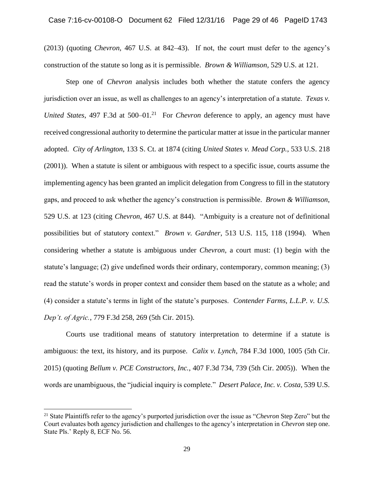(2013) (quoting *Chevron*, 467 U.S. at 842–43). If not, the court must defer to the agency's construction of the statute so long as it is permissible. *Brown & Williamson*, 529 U.S. at 121.

Step one of *Chevron* analysis includes both whether the statute confers the agency jurisdiction over an issue, as well as challenges to an agency's interpretation of a statute. *Texas v.*  United States, 497 F.3d at 500–01.<sup>21</sup> For *Chevron* deference to apply, an agency must have received congressional authority to determine the particular matter at issue in the particular manner adopted. *City of Arlington*, 133 S. Ct. at 1874 (citing *United States v. Mead Corp.*, 533 U.S. 218 (2001)). When a statute is silent or ambiguous with respect to a specific issue, courts assume the implementing agency has been granted an implicit delegation from Congress to fill in the statutory gaps, and proceed to ask whether the agency's construction is permissible. *Brown & Williamson*, 529 U.S. at 123 (citing *Chevron*, 467 U.S. at 844). "Ambiguity is a creature not of definitional possibilities but of statutory context." *Brown v. Gardner*, 513 U.S. 115, 118 (1994). When considering whether a statute is ambiguous under *Chevron*, a court must: (1) begin with the statute's language; (2) give undefined words their ordinary, contemporary, common meaning; (3) read the statute's words in proper context and consider them based on the statute as a whole; and (4) consider a statute's terms in light of the statute's purposes. *Contender Farms, L.L.P. v. U.S. Dep't. of Agric.*, 779 F.3d 258, 269 (5th Cir. 2015).

Courts use traditional means of statutory interpretation to determine if a statute is ambiguous: the text, its history, and its purpose. *Calix v. Lynch*, 784 F.3d 1000, 1005 (5th Cir. 2015) (quoting *Bellum v. PCE Constructors, Inc.*, 407 F.3d 734, 739 (5th Cir. 2005)). When the words are unambiguous, the "judicial inquiry is complete." *Desert Palace, Inc. v. Costa*, 539 U.S.

<sup>21</sup> State Plaintiffs refer to the agency's purported jurisdiction over the issue as "*Chevron* Step Zero" but the Court evaluates both agency jurisdiction and challenges to the agency's interpretation in *Chevron* step one. State Pls.' Reply 8, ECF No. 56.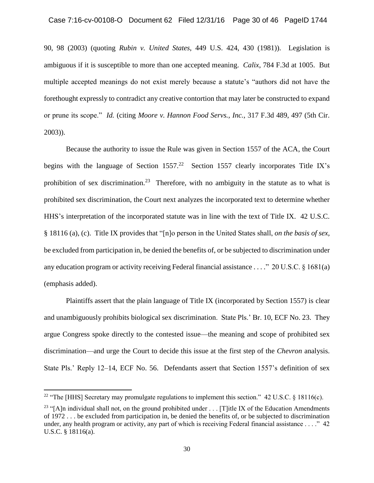90, 98 (2003) (quoting *Rubin v. United States*, 449 U.S. 424, 430 (1981)). Legislation is ambiguous if it is susceptible to more than one accepted meaning. *Calix*, 784 F.3d at 1005. But multiple accepted meanings do not exist merely because a statute's "authors did not have the forethought expressly to contradict any creative contortion that may later be constructed to expand or prune its scope." *Id.* (citing *Moore v. Hannon Food Servs., Inc.*, 317 F.3d 489, 497 (5th Cir. 2003)).

Because the authority to issue the Rule was given in Section 1557 of the ACA, the Court begins with the language of Section  $1557<sup>22</sup>$  Section 1557 clearly incorporates Title IX's prohibition of sex discrimination.<sup>23</sup> Therefore, with no ambiguity in the statute as to what is prohibited sex discrimination, the Court next analyzes the incorporated text to determine whether HHS's interpretation of the incorporated statute was in line with the text of Title IX. 42 U.S.C. § 18116 (a), (c). Title IX provides that "[n]o person in the United States shall, *on the basis of sex,* be excluded from participation in, be denied the benefits of, or be subjected to discrimination under any education program or activity receiving Federal financial assistance . . . ." 20 U.S.C. § 1681(a) (emphasis added).

Plaintiffs assert that the plain language of Title IX (incorporated by Section 1557) is clear and unambiguously prohibits biological sex discrimination. State Pls.' Br. 10, ECF No. 23. They argue Congress spoke directly to the contested issue—the meaning and scope of prohibited sex discrimination—and urge the Court to decide this issue at the first step of the *Chevron* analysis. State Pls.' Reply 12–14, ECF No. 56. Defendants assert that Section 1557's definition of sex

 $\overline{a}$ 

<sup>&</sup>lt;sup>22</sup> "The [HHS] Secretary may promulgate regulations to implement this section." 42 U.S.C. § 18116(c).

<sup>&</sup>lt;sup>23</sup> "[A]n individual shall not, on the ground prohibited under . . . [T]itle IX of the Education Amendments of 1972 . . . be excluded from participation in, be denied the benefits of, or be subjected to discrimination under, any health program or activity, any part of which is receiving Federal financial assistance . . . ." 42 U.S.C. § 18116(a).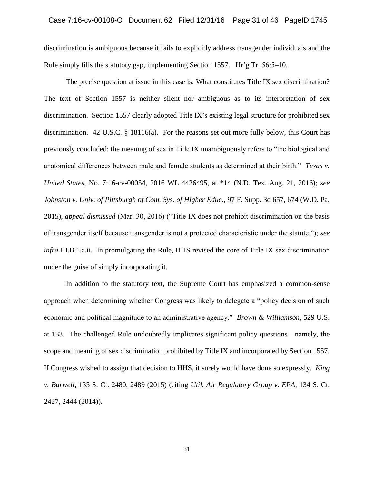discrimination is ambiguous because it fails to explicitly address transgender individuals and the Rule simply fills the statutory gap, implementing Section 1557. Hr'g Tr. 56:5–10.

The precise question at issue in this case is: What constitutes Title IX sex discrimination? The text of Section 1557 is neither silent nor ambiguous as to its interpretation of sex discrimination. Section 1557 clearly adopted Title IX's existing legal structure for prohibited sex discrimination. 42 U.S.C. § 18116(a). For the reasons set out more fully below, this Court has previously concluded: the meaning of sex in Title IX unambiguously refers to "the biological and anatomical differences between male and female students as determined at their birth." *Texas v. United States*, No. 7:16-cv-00054, 2016 WL 4426495, at \*14 (N.D. Tex. Aug. 21, 2016); *see Johnston v. Univ. of Pittsburgh of Com. Sys. of Higher Educ.*, 97 F. Supp. 3d 657, 674 (W.D. Pa. 2015), *appeal dismissed* (Mar. 30, 2016) ("Title IX does not prohibit discrimination on the basis of transgender itself because transgender is not a protected characteristic under the statute."); *see infra* III.B.1.a.ii. In promulgating the Rule, HHS revised the core of Title IX sex discrimination under the guise of simply incorporating it.

In addition to the statutory text, the Supreme Court has emphasized a common-sense approach when determining whether Congress was likely to delegate a "policy decision of such economic and political magnitude to an administrative agency." *Brown & Williamson*, 529 U.S. at 133. The challenged Rule undoubtedly implicates significant policy questions—namely, the scope and meaning of sex discrimination prohibited by Title IX and incorporated by Section 1557. If Congress wished to assign that decision to HHS, it surely would have done so expressly. *King v. Burwell*, 135 S. Ct. 2480, 2489 (2015) (citing *Util. Air Regulatory Group v. EPA*, 134 S. Ct. 2427, 2444 (2014)).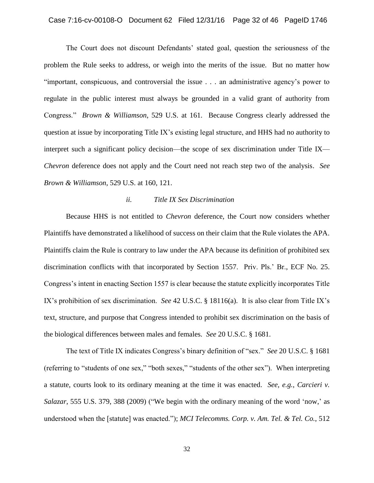### Case 7:16-cv-00108-O Document 62 Filed 12/31/16 Page 32 of 46 PageID 1746

The Court does not discount Defendants' stated goal, question the seriousness of the problem the Rule seeks to address, or weigh into the merits of the issue. But no matter how "important, conspicuous, and controversial the issue . . . an administrative agency's power to regulate in the public interest must always be grounded in a valid grant of authority from Congress." *Brown & Williamson*, 529 U.S. at 161. Because Congress clearly addressed the question at issue by incorporating Title IX's existing legal structure, and HHS had no authority to interpret such a significant policy decision—the scope of sex discrimination under Title IX— *Chevron* deference does not apply and the Court need not reach step two of the analysis. *See Brown & Williamson*, 529 U.S. at 160, 121.

### *ii. Title IX Sex Discrimination*

Because HHS is not entitled to *Chevron* deference, the Court now considers whether Plaintiffs have demonstrated a likelihood of success on their claim that the Rule violates the APA. Plaintiffs claim the Rule is contrary to law under the APA because its definition of prohibited sex discrimination conflicts with that incorporated by Section 1557. Priv. Pls.' Br., ECF No. 25. Congress's intent in enacting Section 1557 is clear because the statute explicitly incorporates Title IX's prohibition of sex discrimination. *See* 42 U.S.C. § 18116(a). It is also clear from Title IX's text, structure, and purpose that Congress intended to prohibit sex discrimination on the basis of the biological differences between males and females. *See* 20 U.S.C. § 1681.

The text of Title IX indicates Congress's binary definition of "sex." *See* 20 U.S.C. § 1681 (referring to "students of one sex," "both sexes," "students of the other sex"). When interpreting a statute, courts look to its ordinary meaning at the time it was enacted. *See, e.g.*, *Carcieri v. Salazar*, 555 U.S. 379, 388 (2009) ("We begin with the ordinary meaning of the word 'now,' as understood when the [statute] was enacted."); *MCI Telecomms. Corp. v. Am. Tel. & Tel. Co.*, 512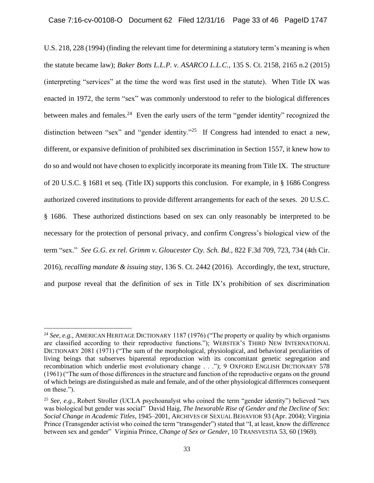U.S. 218, 228 (1994) (finding the relevant time for determining a statutory term's meaning is when the statute became law); *Baker Botts L.L.P. v. ASARCO L.L.C.*, 135 S. Ct. 2158, 2165 n.2 (2015) (interpreting "services" at the time the word was first used in the statute). When Title IX was enacted in 1972, the term "sex" was commonly understood to refer to the biological differences between males and females.<sup>24</sup> Even the early users of the term "gender identity" recognized the distinction between "sex" and "gender identity."<sup>25</sup> If Congress had intended to enact a new, different, or expansive definition of prohibited sex discrimination in Section 1557, it knew how to do so and would not have chosen to explicitly incorporate its meaning from Title IX. The structure of 20 U.S.C. § 1681 et seq. (Title IX) supports this conclusion. For example, in § 1686 Congress authorized covered institutions to provide different arrangements for each of the sexes. 20 U.S.C. § 1686. These authorized distinctions based on sex can only reasonably be interpreted to be necessary for the protection of personal privacy, and confirm Congress's biological view of the term "sex." *See G.G. ex rel. Grimm v. Gloucester Cty. Sch. Bd.*, 822 F.3d 709, 723, 734 (4th Cir. 2016), *recalling mandate & issuing stay*, 136 S. Ct. 2442 (2016). Accordingly, the text, structure, and purpose reveal that the definition of sex in Title IX's prohibition of sex discrimination

<sup>24</sup> *See, e.g.*, AMERICAN HERITAGE DICTIONARY 1187 (1976) ("The property or quality by which organisms are classified according to their reproductive functions."); WEBSTER'S THIRD NEW INTERNATIONAL DICTIONARY 2081 (1971) ("The sum of the morphological, physiological, and behavioral peculiarities of living beings that subserves biparental reproduction with its concomitant genetic segregation and recombination which underlie most evolutionary change . . ."); 9 OXFORD ENGLISH DICTIONARY 578 (1961) ("The sum of those differences in the structure and function of the reproductive organs on the ground of which beings are distinguished as male and female, and of the other physiological differences consequent on these.").

<sup>25</sup> *See, e.g.*, Robert Stroller (UCLA psychoanalyst who coined the term "gender identity") believed "sex was biological but gender was social" David Haig, *The Inexorable Rise of Gender and the Decline of Sex: Social Change in Academic Titles*, 1945–2001, ARCHIVES OF SEXUAL BEHAVIOR 93 (Apr. 2004); Virginia Prince (Transgender activist who coined the term "transgender") stated that "I, at least, know the difference between sex and gender" Virginia Prince, *Change of Sex or Gender*, 10 TRANSVESTIA 53, 60 (1969).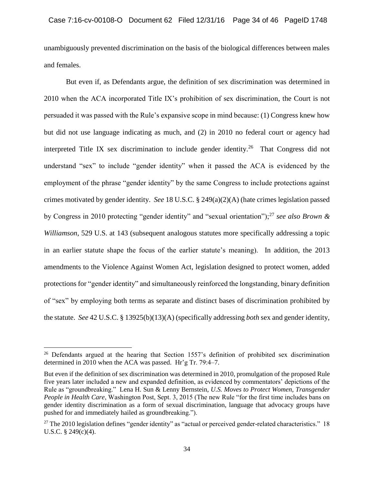unambiguously prevented discrimination on the basis of the biological differences between males and females.

But even if, as Defendants argue, the definition of sex discrimination was determined in 2010 when the ACA incorporated Title IX's prohibition of sex discrimination, the Court is not persuaded it was passed with the Rule's expansive scope in mind because: (1) Congress knew how but did not use language indicating as much, and (2) in 2010 no federal court or agency had interpreted Title IX sex discrimination to include gender identity.<sup>26</sup> That Congress did not understand "sex" to include "gender identity" when it passed the ACA is evidenced by the employment of the phrase "gender identity" by the same Congress to include protections against crimes motivated by gender identity. *See* 18 U.S.C. § 249(a)(2)(A) (hate crimes legislation passed by Congress in 2010 protecting "gender identity" and "sexual orientation");<sup>27</sup> *see also Brown & Williamson*, 529 U.S. at 143 (subsequent analogous statutes more specifically addressing a topic in an earlier statute shape the focus of the earlier statute's meaning). In addition, the 2013 amendments to the Violence Against Women Act, legislation designed to protect women, added protections for "gender identity" and simultaneously reinforced the longstanding, binary definition of "sex" by employing both terms as separate and distinct bases of discrimination prohibited by the statute. *See* 42 U.S.C. § 13925(b)(13)(A) (specifically addressing *both* sex and gender identity,

<sup>&</sup>lt;sup>26</sup> Defendants argued at the hearing that Section 1557's definition of prohibited sex discrimination determined in 2010 when the ACA was passed. Hr'g Tr. 79:4–7.

But even if the definition of sex discrimination was determined in 2010, promulgation of the proposed Rule five years later included a new and expanded definition, as evidenced by commentators' depictions of the Rule as "groundbreaking." Lena H. Sun & Lenny Bernstein, *U.S. Moves to Protect Women, Transgender People in Health Care*, Washington Post, Sept. 3, 2015 (The new Rule "for the first time includes bans on gender identity discrimination as a form of sexual discrimination, language that advocacy groups have pushed for and immediately hailed as groundbreaking.").

<sup>&</sup>lt;sup>27</sup> The 2010 legislation defines "gender identity" as "actual or perceived gender-related characteristics." 18 U.S.C.  $\S$  249(c)(4).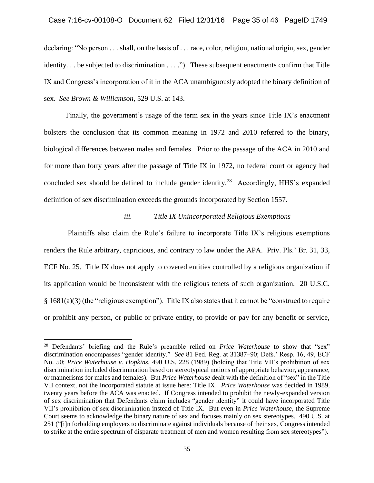declaring: "No person . . . shall, on the basis of . . . race, color, religion, national origin, sex, gender identity. . . be subjected to discrimination . . . ."). These subsequent enactments confirm that Title IX and Congress's incorporation of it in the ACA unambiguously adopted the binary definition of sex. *See Brown & Williamson*, 529 U.S. at 143.

Finally, the government's usage of the term sex in the years since Title IX's enactment bolsters the conclusion that its common meaning in 1972 and 2010 referred to the binary, biological differences between males and females. Prior to the passage of the ACA in 2010 and for more than forty years after the passage of Title IX in 1972, no federal court or agency had concluded sex should be defined to include gender identity.<sup>28</sup> Accordingly, HHS's expanded definition of sex discrimination exceeds the grounds incorporated by Section 1557.

### *iii. Title IX Unincorporated Religious Exemptions*

 Plaintiffs also claim the Rule's failure to incorporate Title IX's religious exemptions renders the Rule arbitrary, capricious, and contrary to law under the APA. Priv. Pls.' Br. 31, 33, ECF No. 25. Title IX does not apply to covered entities controlled by a religious organization if its application would be inconsistent with the religious tenets of such organization. 20 U.S.C. § 1681(a)(3) (the "religious exemption"). Title IX also states that it cannot be "construed to require or prohibit any person, or public or private entity, to provide or pay for any benefit or service,

 $\overline{a}$ 

<sup>28</sup> Defendants' briefing and the Rule's preamble relied on *Price Waterhouse* to show that "sex" discrimination encompasses "gender identity." *See* 81 Fed. Reg. at 31387–90; Defs.' Resp. 16, 49, ECF No. 50; *Price Waterhouse v. Hopkins*, 490 U.S. 228 (1989) (holding that Title VII's prohibition of sex discrimination included discrimination based on stereotypical notions of appropriate behavior, appearance, or mannerisms for males and females). But *Price Waterhouse* dealt with the definition of "sex" in the Title VII context, not the incorporated statute at issue here: Title IX. *Price Waterhouse* was decided in 1989, twenty years before the ACA was enacted. If Congress intended to prohibit the newly-expanded version of sex discrimination that Defendants claim includes "gender identity" it could have incorporated Title VII's prohibition of sex discrimination instead of Title IX. But even in *Price Waterhouse*, the Supreme Court seems to acknowledge the binary nature of sex and focuses mainly on sex stereotypes. 490 U.S. at 251 ("[i]n forbidding employers to discriminate against individuals because of their sex, Congress intended to strike at the entire spectrum of disparate treatment of men and women resulting from sex stereotypes").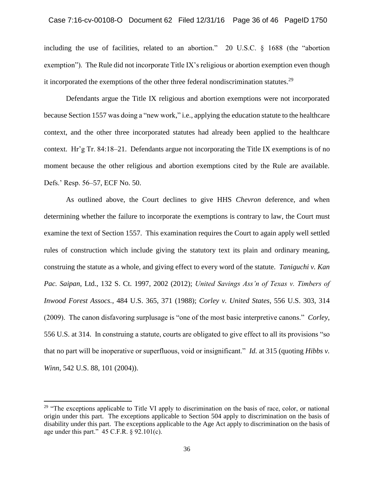including the use of facilities, related to an abortion." 20 U.S.C. § 1688 (the "abortion exemption"). The Rule did not incorporate Title IX's religious or abortion exemption even though it incorporated the exemptions of the other three federal nondiscrimination statutes.<sup>29</sup>

Defendants argue the Title IX religious and abortion exemptions were not incorporated because Section 1557 was doing a "new work," i.e., applying the education statute to the healthcare context, and the other three incorporated statutes had already been applied to the healthcare context. Hr'g Tr. 84:18–21. Defendants argue not incorporating the Title IX exemptions is of no moment because the other religious and abortion exemptions cited by the Rule are available. Defs.' Resp. 56–57, ECF No. 50.

As outlined above, the Court declines to give HHS *Chevron* deference, and when determining whether the failure to incorporate the exemptions is contrary to law, the Court must examine the text of Section 1557. This examination requires the Court to again apply well settled rules of construction which include giving the statutory text its plain and ordinary meaning, construing the statute as a whole, and giving effect to every word of the statute. *Taniguchi v. Kan Pac. Saipan*, Ltd., 132 S. Ct. 1997, 2002 (2012); *United Savings Ass'n of Texas v. Timbers of Inwood Forest Assocs.*, 484 U.S. 365, 371 (1988); *Corley v. United States*, 556 U.S. 303, 314 (2009). The canon disfavoring surplusage is "one of the most basic interpretive canons." *Corley*, 556 U.S. at 314. In construing a statute, courts are obligated to give effect to all its provisions "so that no part will be inoperative or superfluous, void or insignificant." *Id.* at 315 (quoting *Hibbs v. Winn*, 542 U.S. 88, 101 (2004)).

 $29$  "The exceptions applicable to Title VI apply to discrimination on the basis of race, color, or national origin under this part. The exceptions applicable to Section 504 apply to discrimination on the basis of disability under this part. The exceptions applicable to the Age Act apply to discrimination on the basis of age under this part."  $45$  C.F.R. § 92.101(c).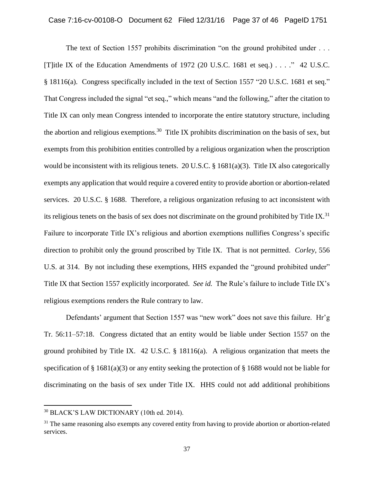The text of Section 1557 prohibits discrimination "on the ground prohibited under . . . [T]itle IX of the Education Amendments of 1972 (20 U.S.C. 1681 et seq.) . . . ." 42 U.S.C. § 18116(a). Congress specifically included in the text of Section 1557 "20 U.S.C. 1681 et seq." That Congress included the signal "et seq.," which means "and the following," after the citation to Title IX can only mean Congress intended to incorporate the entire statutory structure, including the abortion and religious exemptions.<sup>30</sup> Title IX prohibits discrimination on the basis of sex, but exempts from this prohibition entities controlled by a religious organization when the proscription would be inconsistent with its religious tenets. 20 U.S.C. § 1681(a)(3). Title IX also categorically exempts any application that would require a covered entity to provide abortion or abortion-related services. 20 U.S.C. § 1688. Therefore, a religious organization refusing to act inconsistent with its religious tenets on the basis of sex does not discriminate on the ground prohibited by Title IX. $31$ Failure to incorporate Title IX's religious and abortion exemptions nullifies Congress's specific direction to prohibit only the ground proscribed by Title IX. That is not permitted. *Corley*, 556 U.S. at 314. By not including these exemptions, HHS expanded the "ground prohibited under" Title IX that Section 1557 explicitly incorporated. *See id.* The Rule's failure to include Title IX's religious exemptions renders the Rule contrary to law.

Defendants' argument that Section 1557 was "new work" does not save this failure. Hr'g Tr. 56:11–57:18. Congress dictated that an entity would be liable under Section 1557 on the ground prohibited by Title IX. 42 U.S.C. § 18116(a). A religious organization that meets the specification of § 1681(a)(3) or any entity seeking the protection of § 1688 would not be liable for discriminating on the basis of sex under Title IX. HHS could not add additional prohibitions

<sup>30</sup> BLACK'S LAW DICTIONARY (10th ed. 2014).

<sup>&</sup>lt;sup>31</sup> The same reasoning also exempts any covered entity from having to provide abortion or abortion-related services.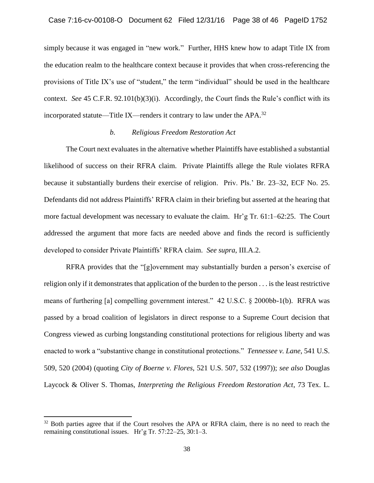simply because it was engaged in "new work." Further, HHS knew how to adapt Title IX from the education realm to the healthcare context because it provides that when cross-referencing the provisions of Title IX's use of "student," the term "individual" should be used in the healthcare context. *See* 45 C.F.R. 92.101(b)(3)(i). Accordingly, the Court finds the Rule's conflict with its incorporated statute—Title IX—renders it contrary to law under the APA.<sup>32</sup>

### *b. Religious Freedom Restoration Act*

The Court next evaluates in the alternative whether Plaintiffs have established a substantial likelihood of success on their RFRA claim. Private Plaintiffs allege the Rule violates RFRA because it substantially burdens their exercise of religion. Priv. Pls.' Br. 23–32, ECF No. 25. Defendants did not address Plaintiffs' RFRA claim in their briefing but asserted at the hearing that more factual development was necessary to evaluate the claim. Hr'g Tr. 61:1–62:25. The Court addressed the argument that more facts are needed above and finds the record is sufficiently developed to consider Private Plaintiffs' RFRA claim. *See supra*, III.A.2.

RFRA provides that the "[g]overnment may substantially burden a person's exercise of religion only if it demonstrates that application of the burden to the person . . . is the least restrictive means of furthering [a] compelling government interest." 42 U.S.C. § 2000bb-1(b). RFRA was passed by a broad coalition of legislators in direct response to a Supreme Court decision that Congress viewed as curbing longstanding constitutional protections for religious liberty and was enacted to work a "substantive change in constitutional protections." *Tennessee v. Lane*, 541 U.S. 509, 520 (2004) (quoting *City of Boerne v. Flores*, 521 U.S. 507, 532 (1997)); *see also* Douglas Laycock & Oliver S. Thomas, *Interpreting the Religious Freedom Restoration Act*, 73 Tex. L.

 $\overline{a}$ 

<sup>&</sup>lt;sup>32</sup> Both parties agree that if the Court resolves the APA or RFRA claim, there is no need to reach the remaining constitutional issues. Hr'g Tr. 57:22–25, 30:1–3.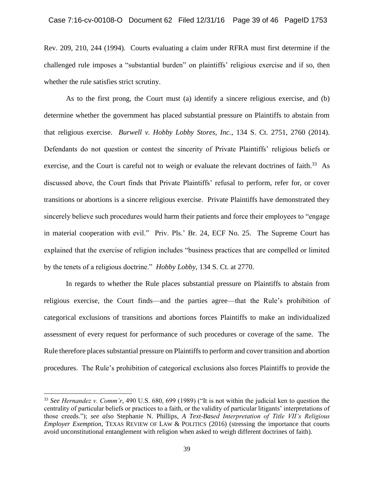Rev. 209, 210, 244 (1994). Courts evaluating a claim under RFRA must first determine if the challenged rule imposes a "substantial burden" on plaintiffs' religious exercise and if so, then whether the rule satisfies strict scrutiny.

As to the first prong, the Court must (a) identify a sincere religious exercise, and (b) determine whether the government has placed substantial pressure on Plaintiffs to abstain from that religious exercise. *Burwell v. Hobby Lobby Stores, Inc.*, 134 S. Ct. 2751, 2760 (2014). Defendants do not question or contest the sincerity of Private Plaintiffs' religious beliefs or exercise, and the Court is careful not to weigh or evaluate the relevant doctrines of faith.<sup>33</sup> As discussed above, the Court finds that Private Plaintiffs' refusal to perform, refer for, or cover transitions or abortions is a sincere religious exercise. Private Plaintiffs have demonstrated they sincerely believe such procedures would harm their patients and force their employees to "engage in material cooperation with evil." Priv. Pls.' Br. 24, ECF No. 25. The Supreme Court has explained that the exercise of religion includes "business practices that are compelled or limited by the tenets of a religious doctrine." *Hobby Lobby*, 134 S. Ct. at 2770.

In regards to whether the Rule places substantial pressure on Plaintiffs to abstain from religious exercise, the Court finds—and the parties agree—that the Rule's prohibition of categorical exclusions of transitions and abortions forces Plaintiffs to make an individualized assessment of every request for performance of such procedures or coverage of the same. The Rule therefore places substantial pressure on Plaintiffs to perform and cover transition and abortion procedures. The Rule's prohibition of categorical exclusions also forces Plaintiffs to provide the

 $\overline{a}$ 

<sup>33</sup> *See Hernandez v. Comm'r*, 490 U.S. 680, 699 (1989) ("It is not within the judicial ken to question the centrality of particular beliefs or practices to a faith, or the validity of particular litigants' interpretations of those creeds."); *see also* Stephanie N. Phillips, *A Text-Based Interpretation of Title VII's Religious Employer Exemption*, TEXAS REVIEW OF LAW & POLITICS (2016) (stressing the importance that courts avoid unconstitutional entanglement with religion when asked to weigh different doctrines of faith).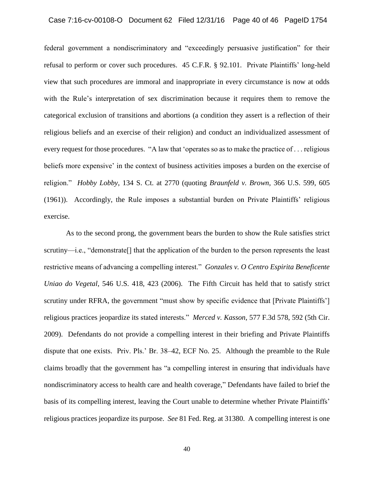### Case 7:16-cv-00108-O Document 62 Filed 12/31/16 Page 40 of 46 PageID 1754

federal government a nondiscriminatory and "exceedingly persuasive justification" for their refusal to perform or cover such procedures. 45 C.F.R. § 92.101. Private Plaintiffs' long-held view that such procedures are immoral and inappropriate in every circumstance is now at odds with the Rule's interpretation of sex discrimination because it requires them to remove the categorical exclusion of transitions and abortions (a condition they assert is a reflection of their religious beliefs and an exercise of their religion) and conduct an individualized assessment of every request for those procedures. "A law that 'operates so as to make the practice of . . . religious beliefs more expensive' in the context of business activities imposes a burden on the exercise of religion." *Hobby Lobby*, 134 S. Ct. at 2770 (quoting *Braunfeld v. Brown*, 366 U.S. 599, 605 (1961)). Accordingly, the Rule imposes a substantial burden on Private Plaintiffs' religious exercise.

As to the second prong, the government bears the burden to show the Rule satisfies strict scrutiny—i.e., "demonstrate[] that the application of the burden to the person represents the least restrictive means of advancing a compelling interest." *Gonzales v. O Centro Espirita Beneficente Uniao do Vegetal*, 546 U.S. 418, 423 (2006). The Fifth Circuit has held that to satisfy strict scrutiny under RFRA, the government "must show by specific evidence that [Private Plaintiffs'] religious practices jeopardize its stated interests." *Merced v. Kasson*, 577 F.3d 578, 592 (5th Cir. 2009). Defendants do not provide a compelling interest in their briefing and Private Plaintiffs dispute that one exists. Priv. Pls.' Br. 38–42, ECF No. 25. Although the preamble to the Rule claims broadly that the government has "a compelling interest in ensuring that individuals have nondiscriminatory access to health care and health coverage," Defendants have failed to brief the basis of its compelling interest, leaving the Court unable to determine whether Private Plaintiffs' religious practices jeopardize its purpose. *See* 81 Fed. Reg. at 31380. A compelling interest is one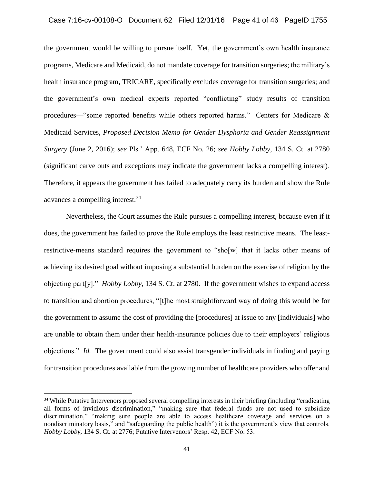the government would be willing to pursue itself. Yet, the government's own health insurance programs, Medicare and Medicaid, do not mandate coverage for transition surgeries; the military's health insurance program, TRICARE, specifically excludes coverage for transition surgeries; and the government's own medical experts reported "conflicting" study results of transition procedures—"some reported benefits while others reported harms." Centers for Medicare & Medicaid Services, *Proposed Decision Memo for Gender Dysphoria and Gender Reassignment Surgery* (June 2, 2016); *see* Pls.' App. 648, ECF No. 26; *see Hobby Lobby*, 134 S. Ct. at 2780 (significant carve outs and exceptions may indicate the government lacks a compelling interest). Therefore, it appears the government has failed to adequately carry its burden and show the Rule advances a compelling interest.<sup>34</sup>

Nevertheless, the Court assumes the Rule pursues a compelling interest, because even if it does, the government has failed to prove the Rule employs the least restrictive means. The leastrestrictive-means standard requires the government to "sho[w] that it lacks other means of achieving its desired goal without imposing a substantial burden on the exercise of religion by the objecting part[y]." *Hobby Lobby*, 134 S. Ct. at 2780. If the government wishes to expand access to transition and abortion procedures, "[t]he most straightforward way of doing this would be for the government to assume the cost of providing the [procedures] at issue to any [individuals] who are unable to obtain them under their health-insurance policies due to their employers' religious objections." *Id.* The government could also assist transgender individuals in finding and paying for transition procedures available from the growing number of healthcare providers who offer and

 $\overline{a}$ 

<sup>&</sup>lt;sup>34</sup> While Putative Intervenors proposed several compelling interests in their briefing (including "eradicating all forms of invidious discrimination," "making sure that federal funds are not used to subsidize discrimination," "making sure people are able to access healthcare coverage and services on a nondiscriminatory basis," and "safeguarding the public health") it is the government's view that controls. *Hobby Lobby*, 134 S. Ct. at 2776; Putative Intervenors' Resp. 42, ECF No. 53.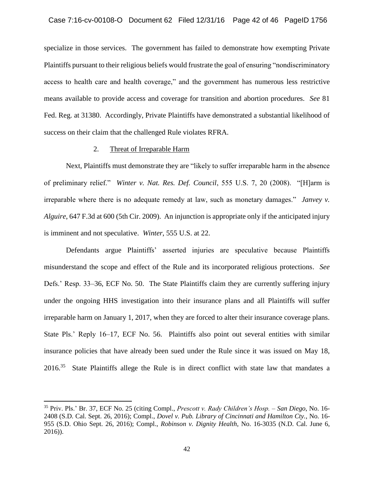specialize in those services. The government has failed to demonstrate how exempting Private Plaintiffs pursuant to their religious beliefs would frustrate the goal of ensuring "nondiscriminatory access to health care and health coverage," and the government has numerous less restrictive means available to provide access and coverage for transition and abortion procedures. *See* 81 Fed. Reg. at 31380. Accordingly, Private Plaintiffs have demonstrated a substantial likelihood of success on their claim that the challenged Rule violates RFRA.

### 2. Threat of Irreparable Harm

l

Next, Plaintiffs must demonstrate they are "likely to suffer irreparable harm in the absence of preliminary relief." *Winter v. Nat. Res. Def. Council*, 555 U.S. 7, 20 (2008). "[H]arm is irreparable where there is no adequate remedy at law, such as monetary damages." *Janvey v. Alguire*, 647 F.3d at 600 (5th Cir. 2009). An injunction is appropriate only if the anticipated injury is imminent and not speculative. *Winter*, 555 U.S. at 22.

Defendants argue Plaintiffs' asserted injuries are speculative because Plaintiffs misunderstand the scope and effect of the Rule and its incorporated religious protections. *See* Defs.' Resp. 33–36, ECF No. 50. The State Plaintiffs claim they are currently suffering injury under the ongoing HHS investigation into their insurance plans and all Plaintiffs will suffer irreparable harm on January 1, 2017, when they are forced to alter their insurance coverage plans. State Pls.' Reply 16–17, ECF No. 56. Plaintiffs also point out several entities with similar insurance policies that have already been sued under the Rule since it was issued on May 18, 2016.<sup>35</sup> State Plaintiffs allege the Rule is in direct conflict with state law that mandates a

<sup>35</sup> Priv. Pls.' Br. 37, ECF No. 25 (citing Compl., *Prescott v. Rady Children's Hosp. – San Diego*, No. 16- 2408 (S.D. Cal. Sept. 26, 2016); Compl., *Dovel v. Pub. Library of Cincinnati and Hamilton Cty.*, No. 16- 955 (S.D. Ohio Sept. 26, 2016); Compl., *Robinson v. Dignity Health*, No. 16-3035 (N.D. Cal. June 6, 2016)).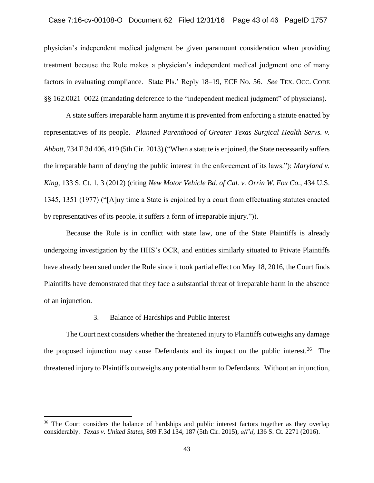### Case 7:16-cv-00108-O Document 62 Filed 12/31/16 Page 43 of 46 PageID 1757

physician's independent medical judgment be given paramount consideration when providing treatment because the Rule makes a physician's independent medical judgment one of many factors in evaluating compliance. State Pls.' Reply 18–19, ECF No. 56. *See* TEX. OCC. CODE §§ 162.0021–0022 (mandating deference to the "independent medical judgment" of physicians).

A state suffers irreparable harm anytime it is prevented from enforcing a statute enacted by representatives of its people. *Planned Parenthood of Greater Texas Surgical Health Servs. v. Abbott*, 734 F.3d 406, 419 (5th Cir. 2013) ("When a statute is enjoined, the State necessarily suffers the irreparable harm of denying the public interest in the enforcement of its laws."); *Maryland v. King*, 133 S. Ct. 1, 3 (2012) (citing *New Motor Vehicle Bd. of Cal. v. Orrin W. Fox Co.*, 434 U.S. 1345, 1351 (1977) ("[A]ny time a State is enjoined by a court from effectuating statutes enacted by representatives of its people, it suffers a form of irreparable injury.")).

Because the Rule is in conflict with state law, one of the State Plaintiffs is already undergoing investigation by the HHS's OCR, and entities similarly situated to Private Plaintiffs have already been sued under the Rule since it took partial effect on May 18, 2016, the Court finds Plaintiffs have demonstrated that they face a substantial threat of irreparable harm in the absence of an injunction.

### 3. Balance of Hardships and Public Interest

 $\overline{a}$ 

The Court next considers whether the threatened injury to Plaintiffs outweighs any damage the proposed injunction may cause Defendants and its impact on the public interest.<sup>36</sup> The threatened injury to Plaintiffs outweighs any potential harm to Defendants. Without an injunction,

<sup>&</sup>lt;sup>36</sup> The Court considers the balance of hardships and public interest factors together as they overlap considerably. *Texas v. United States*, 809 F.3d 134, 187 (5th Cir. 2015), *aff'd*, 136 S. Ct. 2271 (2016).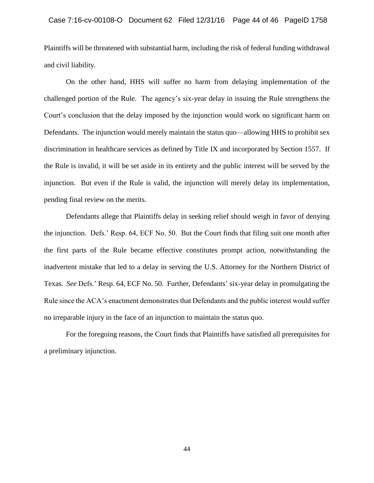Plaintiffs will be threatened with substantial harm, including the risk of federal funding withdrawal and civil liability.

On the other hand, HHS will suffer no harm from delaying implementation of the challenged portion of the Rule. The agency's six-year delay in issuing the Rule strengthens the Court's conclusion that the delay imposed by the injunction would work no significant harm on Defendants. The injunction would merely maintain the status quo—allowing HHS to prohibit sex discrimination in healthcare services as defined by Title IX and incorporated by Section 1557. If the Rule is invalid, it will be set aside in its entirety and the public interest will be served by the injunction. But even if the Rule is valid, the injunction will merely delay its implementation, pending final review on the merits.

Defendants allege that Plaintiffs delay in seeking relief should weigh in favor of denying the injunction. Defs.' Resp. 64, ECF No. 50. But the Court finds that filing suit one month after the first parts of the Rule became effective constitutes prompt action, notwithstanding the inadvertent mistake that led to a delay in serving the U.S. Attorney for the Northern District of Texas. *See* Defs.' Resp. 64, ECF No. 50. Further, Defendants' six-year delay in promulgating the Rule since the ACA's enactment demonstrates that Defendants and the public interest would suffer no irreparable injury in the face of an injunction to maintain the status quo.

For the foregoing reasons, the Court finds that Plaintiffs have satisfied all prerequisites for a preliminary injunction.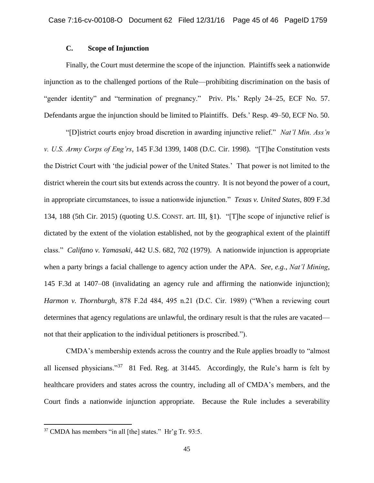# **C. Scope of Injunction**

Finally, the Court must determine the scope of the injunction. Plaintiffs seek a nationwide injunction as to the challenged portions of the Rule—prohibiting discrimination on the basis of "gender identity" and "termination of pregnancy." Priv. Pls.' Reply 24–25, ECF No. 57. Defendants argue the injunction should be limited to Plaintiffs. Defs.' Resp. 49–50, ECF No. 50.

"[D]istrict courts enjoy broad discretion in awarding injunctive relief." *Nat'l Min. Ass'n v. U.S. Army Corps of Eng'rs*, 145 F.3d 1399, 1408 (D.C. Cir. 1998). "[T]he Constitution vests the District Court with 'the judicial power of the United States.' That power is not limited to the district wherein the court sits but extends across the country. It is not beyond the power of a court, in appropriate circumstances, to issue a nationwide injunction." *Texas v. United States*, 809 F.3d 134, 188 (5th Cir. 2015) (quoting U.S. CONST. art. III, §1). "[T]he scope of injunctive relief is dictated by the extent of the violation established, not by the geographical extent of the plaintiff class." *Califano v. Yamasaki*, 442 U.S. 682, 702 (1979). A nationwide injunction is appropriate when a party brings a facial challenge to agency action under the APA. *See, e.g.*, *Nat'l Mining*, 145 F.3d at 1407–08 (invalidating an agency rule and affirming the nationwide injunction); *Harmon v. Thornburgh*, 878 F.2d 484, 495 n.21 (D.C. Cir. 1989) ("When a reviewing court determines that agency regulations are unlawful, the ordinary result is that the rules are vacated not that their application to the individual petitioners is proscribed.").

CMDA's membership extends across the country and the Rule applies broadly to "almost all licensed physicians."<sup>37</sup> 81 Fed. Reg. at 31445. Accordingly, the Rule's harm is felt by healthcare providers and states across the country, including all of CMDA's members, and the Court finds a nationwide injunction appropriate. Because the Rule includes a severability

 $\overline{a}$ 

<sup>37</sup> CMDA has members "in all [the] states." Hr'g Tr. 93:5.